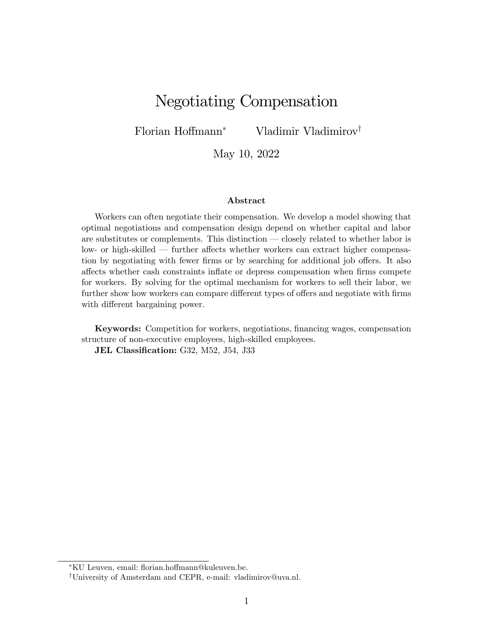# Negotiating Compensation

Florian Hoffmann<sup>\*</sup> Vladimir Vladimirov<sup>†</sup>

May 10, 2022

#### Abstract

Workers can often negotiate their compensation. We develop a model showing that optimal negotiations and compensation design depend on whether capital and labor are substitutes or complements. This distinction — closely related to whether labor is low- or high-skilled – further affects whether workers can extract higher compensation by negotiating with fewer firms or by searching for additional job offers. It also a§ects whether cash constraints ináate or depress compensation when Örms compete for workers. By solving for the optimal mechanism for workers to sell their labor, we further show how workers can compare different types of offers and negotiate with firms with different bargaining power.

Keywords: Competition for workers, negotiations, financing wages, compensation structure of non-executive employees, high-skilled employees.

JEL Classification: G32, M52, J54, J33

<sup>\*</sup>KU Leuven, email: florian.hoffmann@kuleuven.be.

<sup>&</sup>lt;sup>†</sup>University of Amsterdam and CEPR, e-mail: vladimirov@uva.nl.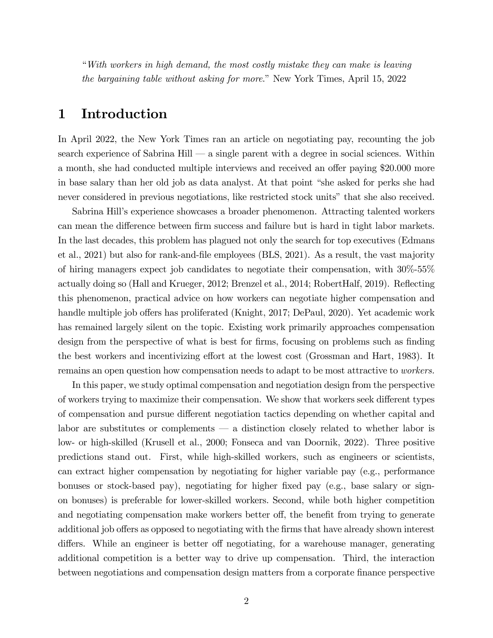ìWith workers in high demand, the most costly mistake they can make is leaving the bargaining table without asking for more." New York Times, April 15, 2022

## 1 Introduction

In April 2022, the New York Times ran an article on negotiating pay, recounting the job search experience of Sabrina Hill  $\sim$  a single parent with a degree in social sciences. Within a month, she had conducted multiple interviews and received an offer paying \$20.000 more in base salary than her old job as data analyst. At that point "she asked for perks she had never considered in previous negotiations, like restricted stock units" that she also received.

Sabrina Hillís experience showcases a broader phenomenon. Attracting talented workers can mean the difference between firm success and failure but is hard in tight labor markets. In the last decades, this problem has plagued not only the search for top executives (Edmans et al., 2021) but also for rank-and-Öle employees (BLS, 2021). As a result, the vast majority of hiring managers expect job candidates to negotiate their compensation, with 30%-55% actually doing so (Hall and Krueger, 2012; Brenzel et al., 2014; RobertHalf, 2019). Reflecting this phenomenon, practical advice on how workers can negotiate higher compensation and handle multiple job offers has proliferated (Knight, 2017; DePaul, 2020). Yet academic work has remained largely silent on the topic. Existing work primarily approaches compensation design from the perspective of what is best for firms, focusing on problems such as finding the best workers and incentivizing effort at the lowest cost (Grossman and Hart, 1983). It remains an open question how compensation needs to adapt to be most attractive to workers.

In this paper, we study optimal compensation and negotiation design from the perspective of workers trying to maximize their compensation. We show that workers seek different types of compensation and pursue different negotiation tactics depending on whether capital and labor are substitutes or complements  $\overline{\phantom{a}}$  a distinction closely related to whether labor is low- or high-skilled (Krusell et al., 2000; Fonseca and van Doornik, 2022). Three positive predictions stand out. First, while high-skilled workers, such as engineers or scientists, can extract higher compensation by negotiating for higher variable pay (e.g., performance bonuses or stock-based pay), negotiating for higher fixed pay (e.g., base salary or signon bonuses) is preferable for lower-skilled workers. Second, while both higher competition and negotiating compensation make workers better off, the benefit from trying to generate additional job offers as opposed to negotiating with the firms that have already shown interest differs. While an engineer is better of negotiating, for a warehouse manager, generating additional competition is a better way to drive up compensation. Third, the interaction between negotiations and compensation design matters from a corporate finance perspective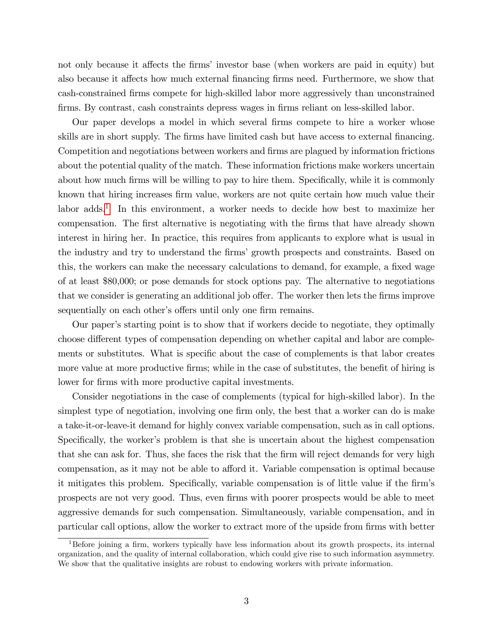not only because it affects the firms' investor base (when workers are paid in equity) but also because it affects how much external financing firms need. Furthermore, we show that cash-constrained Örms compete for high-skilled labor more aggressively than unconstrained firms. By contrast, cash constraints depress wages in firms reliant on less-skilled labor.

Our paper develops a model in which several Örms compete to hire a worker whose skills are in short supply. The firms have limited cash but have access to external financing. Competition and negotiations between workers and firms are plagued by information frictions about the potential quality of the match. These information frictions make workers uncertain about how much firms will be willing to pay to hire them. Specifically, while it is commonly known that hiring increases firm value, workers are not quite certain how much value their labor adds.<sup>[1](#page-2-0)</sup> In this environment, a worker needs to decide how best to maximize her compensation. The first alternative is negotiating with the firms that have already shown interest in hiring her. In practice, this requires from applicants to explore what is usual in the industry and try to understand the firms' growth prospects and constraints. Based on this, the workers can make the necessary calculations to demand, for example, a fixed wage of at least \$80,000; or pose demands for stock options pay. The alternative to negotiations that we consider is generating an additional job offer. The worker then lets the firms improve sequentially on each other's offers until only one firm remains.

Our paperís starting point is to show that if workers decide to negotiate, they optimally choose different types of compensation depending on whether capital and labor are complements or substitutes. What is specific about the case of complements is that labor creates more value at more productive firms; while in the case of substitutes, the benefit of hiring is lower for firms with more productive capital investments.

Consider negotiations in the case of complements (typical for high-skilled labor). In the simplest type of negotiation, involving one firm only, the best that a worker can do is make a take-it-or-leave-it demand for highly convex variable compensation, such as in call options. Specifically, the worker's problem is that she is uncertain about the highest compensation that she can ask for. Thus, she faces the risk that the firm will reject demands for very high compensation, as it may not be able to afford it. Variable compensation is optimal because it mitigates this problem. Specifically, variable compensation is of little value if the firm's prospects are not very good. Thus, even firms with poorer prospects would be able to meet aggressive demands for such compensation. Simultaneously, variable compensation, and in particular call options, allow the worker to extract more of the upside from firms with better

<span id="page-2-0"></span> $1B$ efore joining a firm, workers typically have less information about its growth prospects, its internal organization, and the quality of internal collaboration, which could give rise to such information asymmetry. We show that the qualitative insights are robust to endowing workers with private information.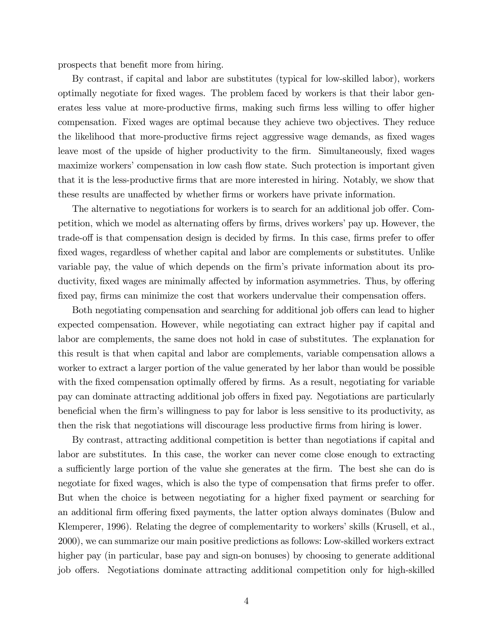prospects that benefit more from hiring.

By contrast, if capital and labor are substitutes (typical for low-skilled labor), workers optimally negotiate for Öxed wages. The problem faced by workers is that their labor generates less value at more-productive firms, making such firms less willing to offer higher compensation. Fixed wages are optimal because they achieve two objectives. They reduce the likelihood that more-productive firms reject aggressive wage demands, as fixed wages leave most of the upside of higher productivity to the firm. Simultaneously, fixed wages maximize workers' compensation in low cash flow state. Such protection is important given that it is the less-productive Örms that are more interested in hiring. Notably, we show that these results are unaffected by whether firms or workers have private information.

The alternative to negotiations for workers is to search for an additional job offer. Competition, which we model as alternating offers by firms, drives workers' pay up. However, the trade-off is that compensation design is decided by firms. In this case, firms prefer to offer fixed wages, regardless of whether capital and labor are complements or substitutes. Unlike variable pay, the value of which depends on the firm's private information about its productivity, fixed wages are minimally affected by information asymmetries. Thus, by offering fixed pay, firms can minimize the cost that workers undervalue their compensation offers.

Both negotiating compensation and searching for additional job offers can lead to higher expected compensation. However, while negotiating can extract higher pay if capital and labor are complements, the same does not hold in case of substitutes. The explanation for this result is that when capital and labor are complements, variable compensation allows a worker to extract a larger portion of the value generated by her labor than would be possible with the fixed compensation optimally offered by firms. As a result, negotiating for variable pay can dominate attracting additional job offers in fixed pay. Negotiations are particularly beneficial when the firm's willingness to pay for labor is less sensitive to its productivity, as then the risk that negotiations will discourage less productive firms from hiring is lower.

By contrast, attracting additional competition is better than negotiations if capital and labor are substitutes. In this case, the worker can never come close enough to extracting a sufficiently large portion of the value she generates at the firm. The best she can do is negotiate for fixed wages, which is also the type of compensation that firms prefer to offer. But when the choice is between negotiating for a higher fixed payment or searching for an additional firm offering fixed payments, the latter option always dominates (Bulow and Klemperer, 1996). Relating the degree of complementarity to workers' skills (Krusell, et al., 2000), we can summarize our main positive predictions as follows: Low-skilled workers extract higher pay (in particular, base pay and sign-on bonuses) by choosing to generate additional job offers. Negotiations dominate attracting additional competition only for high-skilled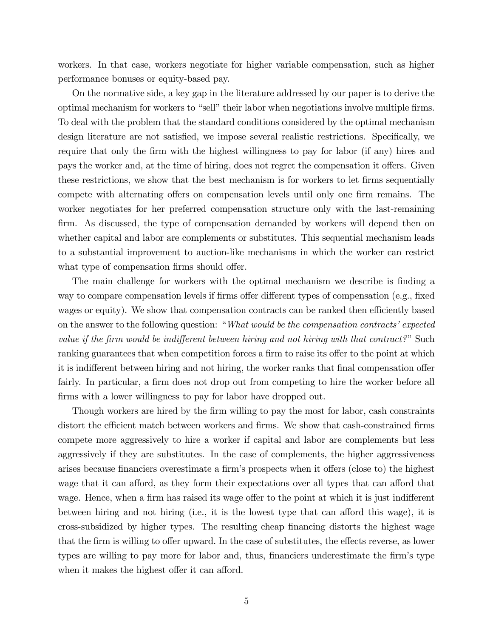workers. In that case, workers negotiate for higher variable compensation, such as higher performance bonuses or equity-based pay.

On the normative side, a key gap in the literature addressed by our paper is to derive the optimal mechanism for workers to "sell" their labor when negotiations involve multiple firms. To deal with the problem that the standard conditions considered by the optimal mechanism design literature are not satisfied, we impose several realistic restrictions. Specifically, we require that only the firm with the highest willingness to pay for labor (if any) hires and pays the worker and, at the time of hiring, does not regret the compensation it offers. Given these restrictions, we show that the best mechanism is for workers to let firms sequentially compete with alternating offers on compensation levels until only one firm remains. The worker negotiates for her preferred compensation structure only with the last-remaining firm. As discussed, the type of compensation demanded by workers will depend then on whether capital and labor are complements or substitutes. This sequential mechanism leads to a substantial improvement to auction-like mechanisms in which the worker can restrict what type of compensation firms should offer.

The main challenge for workers with the optimal mechanism we describe is finding a way to compare compensation levels if firms offer different types of compensation (e.g., fixed wages or equity). We show that compensation contracts can be ranked then efficiently based on the answer to the following question: "*What would be the compensation contracts' expected* value if the firm would be indifferent between hiring and not hiring with that contract?" Such ranking guarantees that when competition forces a firm to raise its offer to the point at which it is indifferent between hiring and not hiring, the worker ranks that final compensation offer fairly. In particular, a firm does not drop out from competing to hire the worker before all firms with a lower willingness to pay for labor have dropped out.

Though workers are hired by the firm willing to pay the most for labor, cash constraints distort the efficient match between workers and firms. We show that cash-constrained firms compete more aggressively to hire a worker if capital and labor are complements but less aggressively if they are substitutes. In the case of complements, the higher aggressiveness arises because financiers overestimate a firm's prospects when it offers (close to) the highest wage that it can afford, as they form their expectations over all types that can afford that wage. Hence, when a firm has raised its wage offer to the point at which it is just indifferent between hiring and not hiring (i.e., it is the lowest type that can afford this wage), it is cross-subsidized by higher types. The resulting cheap financing distorts the highest wage that the firm is willing to offer upward. In the case of substitutes, the effects reverse, as lower types are willing to pay more for labor and, thus, financiers underestimate the firm's type when it makes the highest offer it can afford.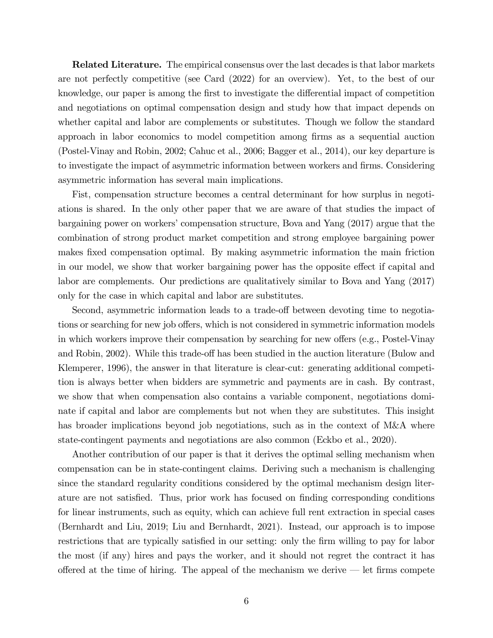**Related Literature.** The empirical consensus over the last decades is that labor markets are not perfectly competitive (see Card (2022) for an overview). Yet, to the best of our knowledge, our paper is among the first to investigate the differential impact of competition and negotiations on optimal compensation design and study how that impact depends on whether capital and labor are complements or substitutes. Though we follow the standard approach in labor economics to model competition among Örms as a sequential auction (Postel-Vinay and Robin, 2002; Cahuc et al., 2006; Bagger et al., 2014), our key departure is to investigate the impact of asymmetric information between workers and firms. Considering asymmetric information has several main implications.

Fist, compensation structure becomes a central determinant for how surplus in negotiations is shared. In the only other paper that we are aware of that studies the impact of bargaining power on workers' compensation structure, Bova and Yang (2017) argue that the combination of strong product market competition and strong employee bargaining power makes fixed compensation optimal. By making asymmetric information the main friction in our model, we show that worker bargaining power has the opposite effect if capital and labor are complements. Our predictions are qualitatively similar to Bova and Yang (2017) only for the case in which capital and labor are substitutes.

Second, asymmetric information leads to a trade-off between devoting time to negotiations or searching for new job offers, which is not considered in symmetric information models in which workers improve their compensation by searching for new offers (e.g., Postel-Vinay and Robin, 2002). While this trade-off has been studied in the auction literature (Bulow and Klemperer, 1996), the answer in that literature is clear-cut: generating additional competition is always better when bidders are symmetric and payments are in cash. By contrast, we show that when compensation also contains a variable component, negotiations dominate if capital and labor are complements but not when they are substitutes. This insight has broader implications beyond job negotiations, such as in the context of M&A where state-contingent payments and negotiations are also common (Eckbo et al., 2020).

Another contribution of our paper is that it derives the optimal selling mechanism when compensation can be in state-contingent claims. Deriving such a mechanism is challenging since the standard regularity conditions considered by the optimal mechanism design literature are not satisfied. Thus, prior work has focused on finding corresponding conditions for linear instruments, such as equity, which can achieve full rent extraction in special cases (Bernhardt and Liu, 2019; Liu and Bernhardt, 2021). Instead, our approach is to impose restrictions that are typically satisfied in our setting: only the firm willing to pay for labor the most (if any) hires and pays the worker, and it should not regret the contract it has offered at the time of hiring. The appeal of the mechanism we derive  $-$  let firms compete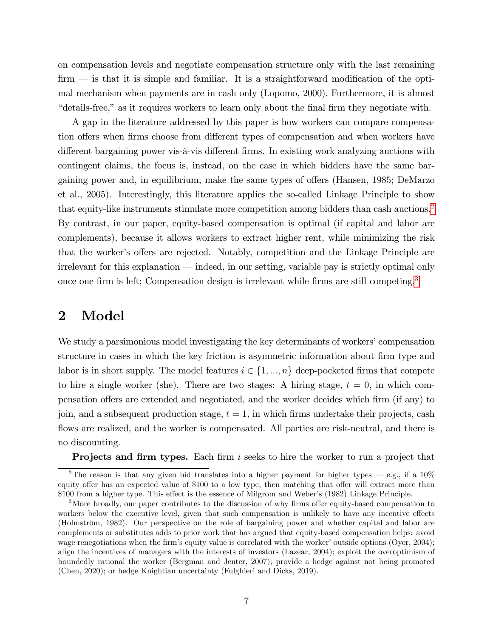on compensation levels and negotiate compensation structure only with the last remaining  $f_{\text{firm}}$  is that it is simple and familiar. It is a straightforward modification of the optimal mechanism when payments are in cash only (Lopomo, 2000). Furthermore, it is almost ìdetails-free,îas it requires workers to learn only about the Önal Örm they negotiate with.

A gap in the literature addressed by this paper is how workers can compare compensation offers when firms choose from different types of compensation and when workers have different bargaining power vis- $\alpha$ -vis different firms. In existing work analyzing auctions with contingent claims, the focus is, instead, on the case in which bidders have the same bargaining power and, in equilibrium, make the same types of offers (Hansen, 1985; DeMarzo et al., 2005). Interestingly, this literature applies the so-called Linkage Principle to show that equity-like instruments stimulate more competition among bidders than cash auctions.<sup>[2](#page-6-0)</sup> By contrast, in our paper, equity-based compensation is optimal (if capital and labor are complements), because it allows workers to extract higher rent, while minimizing the risk that the worker's offers are rejected. Notably, competition and the Linkage Principle are irrelevant for this explanation – indeed, in our setting, variable pay is strictly optimal only once one firm is left; Compensation design is irrelevant while firms are still competing.<sup>[3](#page-6-1)</sup>

### 2 Model

We study a parsimonious model investigating the key determinants of workers' compensation structure in cases in which the key friction is asymmetric information about firm type and labor is in short supply. The model features  $i \in \{1, ..., n\}$  deep-pocketed firms that compete to hire a single worker (she). There are two stages: A hiring stage,  $t = 0$ , in which compensation offers are extended and negotiated, and the worker decides which firm (if any) to join, and a subsequent production stage,  $t = 1$ , in which firms undertake their projects, cash flows are realized, and the worker is compensated. All parties are risk-neutral, and there is no discounting.

<span id="page-6-0"></span>**Projects and firm types.** Each firm i seeks to hire the worker to run a project that

<sup>&</sup>lt;sup>2</sup>The reason is that any given bid translates into a higher payment for higher types – e.g., if a 10% equity offer has an expected value of \$100 to a low type, then matching that offer will extract more than \$100 from a higher type. This effect is the essence of Milgrom and Weber's (1982) Linkage Principle.

<span id="page-6-1"></span> $3$ More broadly, our paper contributes to the discussion of why firms offer equity-based compensation to workers below the executive level, given that such compensation is unlikely to have any incentive effects (Holmström, 1982). Our perspective on the role of bargaining power and whether capital and labor are complements or substitutes adds to prior work that has argued that equity-based compensation helps: avoid wage renegotiations when the firm's equity value is correlated with the worker' outside options (Oyer, 2004); align the incentives of managers with the interests of investors (Lazear, 2004); exploit the overoptimism of boundedly rational the worker (Bergman and Jenter, 2007); provide a hedge against not being promoted (Chen, 2020); or hedge Knightian uncertainty (Fulghieri and Dicks, 2019).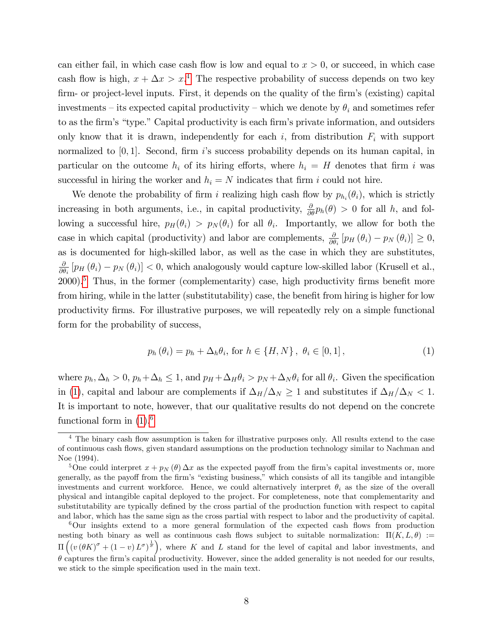can either fail, in which case cash flow is low and equal to  $x > 0$ , or succeed, in which case cash flow is high,  $x + \Delta x > x^4$  $x + \Delta x > x^4$  The respective probability of success depends on two key firm- or project-level inputs. First, it depends on the quality of the firm's (existing) capital investments – its expected capital productivity – which we denote by  $\theta_i$  and sometimes refer to as the firm's "type." Capital productivity is each firm's private information, and outsiders only know that it is drawn, independently for each  $i$ , from distribution  $F_i$  with support normalized to  $[0, 1]$ . Second, firm is success probability depends on its human capital, in particular on the outcome  $h_i$  of its hiring efforts, where  $h_i = H$  denotes that firm i was successful in hiring the worker and  $h_i = N$  indicates that firm i could not hire.

We denote the probability of firm i realizing high cash flow by  $p_{h_i}(\theta_i)$ , which is strictly increasing in both arguments, i.e., in capital productivity,  $\frac{\partial}{\partial \theta} p_h(\theta) > 0$  for all h, and following a successful hire,  $p_H(\theta_i) > p_N(\theta_i)$  for all  $\theta_i$ . Importantly, we allow for both the case in which capital (productivity) and labor are complements,  $\frac{\partial}{\partial \theta_i} [p_H(\theta_i) - p_N(\theta_i)] \geq 0$ , as is documented for high-skilled labor, as well as the case in which they are substitutes,  $\partial$  $\frac{\partial}{\partial \theta_i} [p_H(\theta_i) - p_N(\theta_i)] < 0$ , which analogously would capture low-skilled labor (Krusell et al.,  $2000$ <sup>[5](#page-7-1)</sup>. Thus, in the former (complementarity) case, high productivity firms benefit more from hiring, while in the latter (substitutability) case, the benefit from hiring is higher for low productivity Örms. For illustrative purposes, we will repeatedly rely on a simple functional form for the probability of success,

<span id="page-7-2"></span>
$$
p_h(\theta_i) = p_h + \Delta_h \theta_i, \text{ for } h \in \{H, N\}, \ \theta_i \in [0, 1], \tag{1}
$$

where  $p_h, \Delta_h > 0$ ,  $p_h + \Delta_h \le 1$ , and  $p_H + \Delta_H \theta_i > p_N + \Delta_N \theta_i$  for all  $\theta_i$ . Given the specification in [\(1\)](#page-7-2), capital and labour are complements if  $\Delta_H/\Delta_N \geq 1$  and substitutes if  $\Delta_H/\Delta_N < 1$ . It is important to note, however, that our qualitative results do not depend on the concrete functional form in  $(1)$ .<sup>[6](#page-7-3)</sup>

<span id="page-7-0"></span><sup>&</sup>lt;sup>4</sup> The binary cash flow assumption is taken for illustrative purposes only. All results extend to the case of continuous cash áows, given standard assumptions on the production technology similar to Nachman and Noe (1994).

<span id="page-7-1"></span><sup>&</sup>lt;sup>5</sup>One could interpret  $x + p_N(\theta) \Delta x$  as the expected payoff from the firm's capital investments or, more generally, as the payoff from the firm's "existing business," which consists of all its tangible and intangible investments and current workforce. Hence, we could alternatively interpret  $\theta_i$  as the size of the overall physical and intangible capital deployed to the project. For completeness, note that complementarity and substitutability are typically defined by the cross partial of the production function with respect to capital and labor, which has the same sign as the cross partial with respect to labor and the productivity of capital.

<span id="page-7-3"></span> $6$ Our insights extend to a more general formulation of the expected cash flows from production nesting both binary as well as continuous cash flows subject to suitable normalization:  $\Pi(K, L, \theta) :=$  $\Pi\left(\left(v\left(\theta K\right)^{\sigma}+\left(1-v\right)L^{\sigma}\right)^{\frac{1}{\sigma}}\right)$ , where K and L stand for the level of capital and labor investments, and  $\theta$  captures the firm's capital productivity. However, since the added generality is not needed for our results, we stick to the simple specification used in the main text.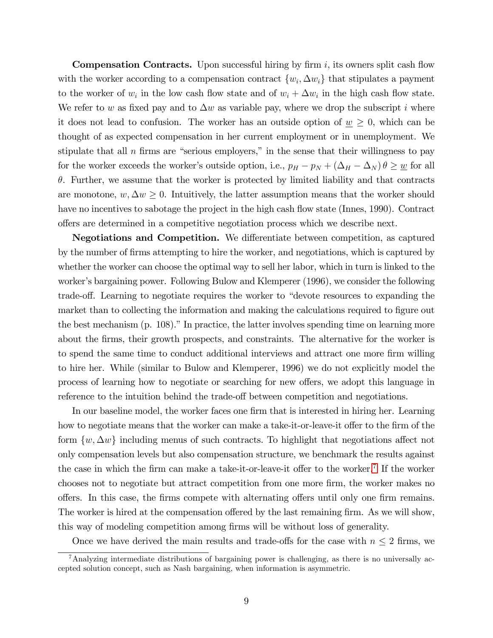**Compensation Contracts.** Upon successful hiring by firm i, its owners split cash flow with the worker according to a compensation contract  $\{w_i, \Delta w_i\}$  that stipulates a payment to the worker of  $w_i$  in the low cash flow state and of  $w_i + \Delta w_i$  in the high cash flow state. We refer to w as fixed pay and to  $\Delta w$  as variable pay, where we drop the subscript i where it does not lead to confusion. The worker has an outside option of  $\underline{w} \geq 0$ , which can be thought of as expected compensation in her current employment or in unemployment. We stipulate that all  $n$  firms are "serious employers," in the sense that their willingness to pay for the worker exceeds the worker's outside option, i.e.,  $p_H - p_N + (\Delta_H - \Delta_N) \theta \geq \underline{w}$  for all  $\theta$ . Further, we assume that the worker is protected by limited liability and that contracts are monotone,  $w, \Delta w \geq 0$ . Intuitively, the latter assumption means that the worker should have no incentives to sabotage the project in the high cash flow state (Innes, 1990). Contract o§ers are determined in a competitive negotiation process which we describe next.

Negotiations and Competition. We differentiate between competition, as captured by the number of firms attempting to hire the worker, and negotiations, which is captured by whether the worker can choose the optimal way to sell her labor, which in turn is linked to the worker's bargaining power. Following Bulow and Klemperer (1996), we consider the following trade-off. Learning to negotiate requires the worker to "devote resources to expanding the market than to collecting the information and making the calculations required to figure out the best mechanism  $(p. 108)$ ." In practice, the latter involves spending time on learning more about the Örms, their growth prospects, and constraints. The alternative for the worker is to spend the same time to conduct additional interviews and attract one more firm willing to hire her. While (similar to Bulow and Klemperer, 1996) we do not explicitly model the process of learning how to negotiate or searching for new offers, we adopt this language in reference to the intuition behind the trade-off between competition and negotiations.

In our baseline model, the worker faces one firm that is interested in hiring her. Learning how to negotiate means that the worker can make a take-it-or-leave-it offer to the firm of the form  $\{w, \Delta w\}$  including menus of such contracts. To highlight that negotiations affect not only compensation levels but also compensation structure, we benchmark the results against the case in which the firm can make a take-it-or-leave-it offer to the worker.<sup>[7](#page-8-0)</sup> If the worker chooses not to negotiate but attract competition from one more firm, the worker makes no offers. In this case, the firms compete with alternating offers until only one firm remains. The worker is hired at the compensation offered by the last remaining firm. As we will show, this way of modeling competition among Örms will be without loss of generality.

<span id="page-8-0"></span>Once we have derived the main results and trade-offs for the case with  $n \leq 2$  firms, we

<sup>7</sup>Analyzing intermediate distributions of bargaining power is challenging, as there is no universally accepted solution concept, such as Nash bargaining, when information is asymmetric.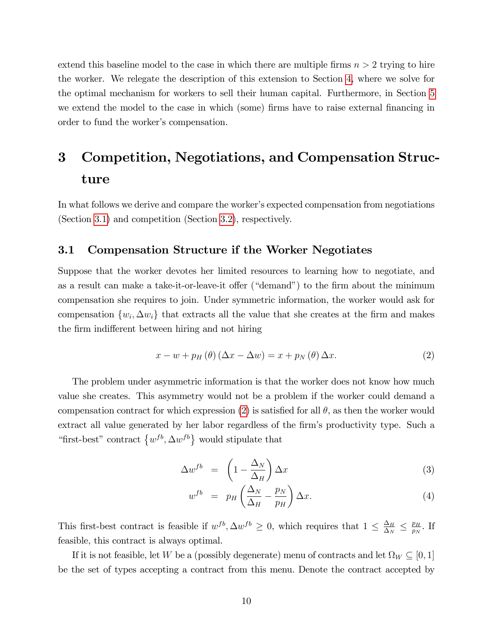extend this baseline model to the case in which there are multiple firms  $n > 2$  trying to hire the worker. We relegate the description of this extension to Section [4,](#page-16-0) where we solve for the optimal mechanism for workers to sell their human capital. Furthermore, in Section [5](#page-21-0) we extend the model to the case in which (some) firms have to raise external financing in order to fund the worker's compensation.

# 3 Competition, Negotiations, and Compensation Structure

In what follows we derive and compare the worker's expected compensation from negotiations (Section [3.1\)](#page-9-0) and competition (Section [3.2\)](#page-13-0), respectively.

### <span id="page-9-0"></span>3.1 Compensation Structure if the Worker Negotiates

Suppose that the worker devotes her limited resources to learning how to negotiate, and as a result can make a take-it-or-leave-it offer ("demand") to the firm about the minimum compensation she requires to join. Under symmetric information, the worker would ask for compensation  $\{w_i, \Delta w_i\}$  that extracts all the value that she creates at the firm and makes the firm indifferent between hiring and not hiring

<span id="page-9-1"></span>
$$
x - w + p_H(\theta) (\Delta x - \Delta w) = x + p_N(\theta) \Delta x.
$$
 (2)

The problem under asymmetric information is that the worker does not know how much value she creates. This asymmetry would not be a problem if the worker could demand a compensation contract for which expression [\(2\)](#page-9-1) is satisfied for all  $\theta$ , as then the worker would extract all value generated by her labor regardless of the firm's productivity type. Such a "first-best" contract  $\{w^{fb}, \Delta w^{fb}\}\$  would stipulate that

$$
\Delta w^{fb} = \left(1 - \frac{\Delta_N}{\Delta_H}\right) \Delta x \tag{3}
$$

<span id="page-9-2"></span>
$$
w^{fb} = p_H \left( \frac{\Delta_N}{\Delta_H} - \frac{p_N}{p_H} \right) \Delta x.
$$
 (4)

This first-best contract is feasible if  $w^{fb}$ ,  $\Delta w^{fb} \geq 0$ , which requires that  $1 \leq \frac{\Delta_H}{\Delta_N}$  $\frac{\Delta_H}{\Delta_N} \leq \frac{p_H}{p_N}$  $\frac{p_H}{p_N}$ . If feasible, this contract is always optimal.

If it is not feasible, let W be a (possibly degenerate) menu of contracts and let  $\Omega_W \subseteq [0,1]$ be the set of types accepting a contract from this menu. Denote the contract accepted by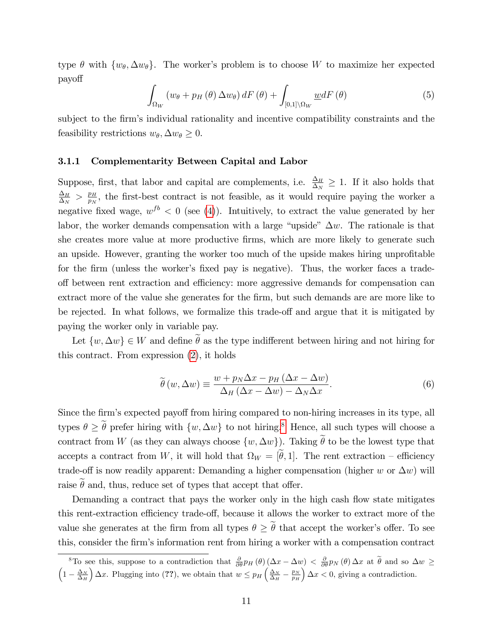type  $\theta$  with  $\{w_{\theta}, \Delta w_{\theta}\}.$  The worker's problem is to choose W to maximize her expected payo§

$$
\int_{\Omega_W} \left( w_{\theta} + p_H \left( \theta \right) \Delta w_{\theta} \right) dF \left( \theta \right) + \int_{[0,1] \setminus \Omega_W} \underline{w} dF \left( \theta \right) \tag{5}
$$

subject to the firm's individual rationality and incentive compatibility constraints and the feasibility restrictions  $w_{\theta}, \Delta w_{\theta} \geq 0$ .

#### 3.1.1 Complementarity Between Capital and Labor

Suppose, first, that labor and capital are complements, i.e.  $\frac{\Delta_H}{\Delta_N} \geq 1$ . If it also holds that  $\Delta_H$  $\frac{\Delta_H}{\Delta_N} > \frac{p_H}{p_N}$  $\frac{p_H}{p_N}$ , the first-best contract is not feasible, as it would require paying the worker a negative fixed wage,  $w^{fb} < 0$  (see [\(4\)](#page-9-2)). Intuitively, to extract the value generated by her labor, the worker demands compensation with a large "upside"  $\Delta w$ . The rationale is that she creates more value at more productive firms, which are more likely to generate such an upside. However, granting the worker too much of the upside makes hiring unprofitable for the firm (unless the worker's fixed pay is negative). Thus, the worker faces a tradeoff between rent extraction and efficiency: more aggressive demands for compensation can extract more of the value she generates for the firm, but such demands are are more like to be rejected. In what follows, we formalize this trade-off and argue that it is mitigated by paying the worker only in variable pay.

Let  $\{w, \Delta w\} \in W$  and define  $\tilde{\theta}$  as the type indifferent between hiring and not hiring for this contract. From expression [\(2\)](#page-9-1), it holds

<span id="page-10-1"></span>
$$
\widetilde{\theta}(w, \Delta w) \equiv \frac{w + p_N \Delta x - p_H (\Delta x - \Delta w)}{\Delta_H (\Delta x - \Delta w) - \Delta_N \Delta x}.
$$
\n(6)

Since the firm's expected payoff from hiring compared to non-hiring increases in its type, all types  $\theta \geq \tilde{\theta}$  prefer hiring with  $\{w, \Delta w\}$  to not hiring.<sup>[8](#page-10-0)</sup> Hence, all such types will choose a contract from W (as they can always choose  $\{w, \Delta w\}$ ). Taking  $\tilde{\theta}$  to be the lowest type that accepts a contract from W, it will hold that  $\Omega_W = [\theta, 1]$ . The rent extraction – efficiency trade-off is now readily apparent: Demanding a higher compensation (higher w or  $\Delta w$ ) will raise  $\hat{\theta}$  and, thus, reduce set of types that accept that offer.

Demanding a contract that pays the worker only in the high cash flow state mitigates this rent-extraction efficiency trade-off, because it allows the worker to extract more of the value she generates at the firm from all types  $\theta \geq \tilde{\theta}$  that accept the worker's offer. To see this, consider the Örmís information rent from hiring a worker with a compensation contract

<span id="page-10-0"></span><sup>&</sup>lt;sup>8</sup>To see this, suppose to a contradiction that  $\frac{\partial}{\partial \theta} p_H(\theta) (\Delta x - \Delta w) < \frac{\partial}{\partial \theta} p_N(\theta) \Delta x$  at  $\hat{\theta}$  and so  $\Delta w \ge$ <br> $\left(1 - \frac{\Delta_N}{\Delta_H}\right) \Delta x$ . Plugging into (??), we obtain that  $w \leq p_H\left(\frac{\Delta_N}{\Delta_H} - \frac{p_N}{p_H}\right) \Delta x < 0$ , giv  $\int \Delta x$ . Plugging into (??), we obtain that  $w \leq p_H \left( \frac{\Delta_N}{\Delta_H} - \frac{p_N}{p_H} \right)$  $\alpha \geq 0$ , giving a contradiction.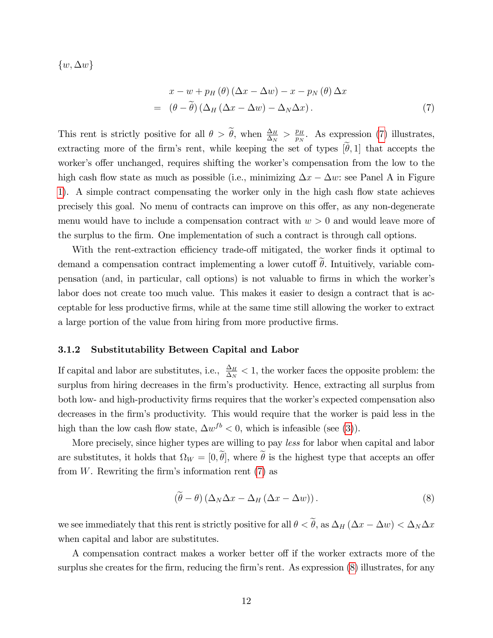$\{w, \Delta w\}$ 

<span id="page-11-0"></span>
$$
x - w + p_H(\theta) (\Delta x - \Delta w) - x - p_N(\theta) \Delta x
$$
  
=  $(\theta - \tilde{\theta}) (\Delta_H (\Delta x - \Delta w) - \Delta_N \Delta x).$  (7)

This rent is strictly positive for all  $\theta > \tilde{\theta}$ , when  $\frac{\Delta_H}{\Delta_N} > \frac{p_H}{p_N}$  $\frac{p_H}{p_N}$ . As expression [\(7\)](#page-11-0) illustrates, extracting more of the firm's rent, while keeping the set of types  $[\theta, 1]$  that accepts the worker's offer unchanged, requires shifting the worker's compensation from the low to the high cash flow state as much as possible (i.e., minimizing  $\Delta x - \Delta w$ : see Panel A in Figure [1\)](#page-13-1). A simple contract compensating the worker only in the high cash flow state achieves precisely this goal. No menu of contracts can improve on this offer, as any non-degenerate menu would have to include a compensation contract with  $w > 0$  and would leave more of the surplus to the Örm. One implementation of such a contract is through call options.

With the rent-extraction efficiency trade-off mitigated, the worker finds it optimal to demand a compensation contract implementing a lower cutoff  $\tilde{\theta}$ . Intuitively, variable compensation (and, in particular, call options) is not valuable to firms in which the worker's labor does not create too much value. This makes it easier to design a contract that is acceptable for less productive Örms, while at the same time still allowing the worker to extract a large portion of the value from hiring from more productive firms.

#### 3.1.2 Substitutability Between Capital and Labor

If capital and labor are substitutes, i.e.,  $\frac{\Delta_H}{\Delta_N} < 1$ , the worker faces the opposite problem: the surplus from hiring decreases in the firm's productivity. Hence, extracting all surplus from both low- and high-productivity firms requires that the worker's expected compensation also decreases in the firm's productivity. This would require that the worker is paid less in the high than the low cash flow state,  $\Delta w^{fb} < 0$ , which is infeasible (see [\(3\)](#page-9-2)).

More precisely, since higher types are willing to pay less for labor when capital and labor are substitutes, it holds that  $\Omega_W = [0, \theta]$ , where  $\theta$  is the highest type that accepts an offer from  $W$ . Rewriting the firm's information rent  $(7)$  as

<span id="page-11-1"></span>
$$
(\tilde{\theta} - \theta) \left( \Delta_N \Delta x - \Delta_H \left( \Delta x - \Delta w \right) \right). \tag{8}
$$

we see immediately that this rent is strictly positive for all  $\theta < \tilde{\theta}$ , as  $\Delta_H (\Delta x - \Delta w) < \Delta_N \Delta x$ when capital and labor are substitutes.

A compensation contract makes a worker better off if the worker extracts more of the surplus she creates for the firm, reducing the firm's rent. As expression [\(8\)](#page-11-1) illustrates, for any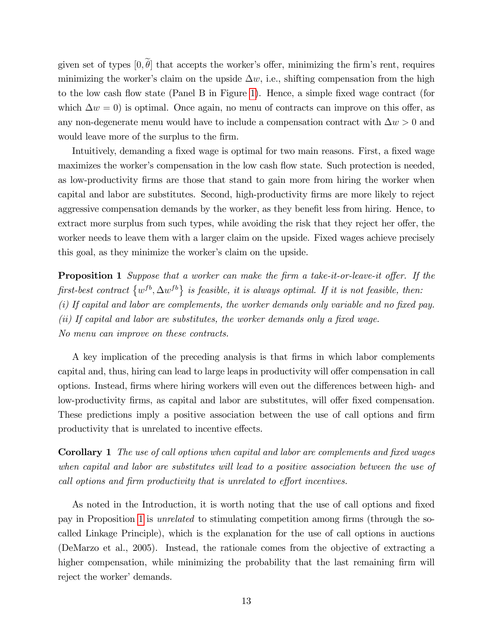given set of types  $[0, \theta]$  that accepts the worker's offer, minimizing the firm's rent, requires minimizing the worker's claim on the upside  $\Delta w$ , i.e., shifting compensation from the high to the low cash flow state (Panel B in Figure [1\)](#page-13-1). Hence, a simple fixed wage contract (for which  $\Delta w = 0$ ) is optimal. Once again, no menu of contracts can improve on this offer, as any non-degenerate menu would have to include a compensation contract with  $\Delta w > 0$  and would leave more of the surplus to the firm.

Intuitively, demanding a fixed wage is optimal for two main reasons. First, a fixed wage maximizes the worker's compensation in the low cash flow state. Such protection is needed, as low-productivity firms are those that stand to gain more from hiring the worker when capital and labor are substitutes. Second, high-productivity firms are more likely to reject aggressive compensation demands by the worker, as they benefit less from hiring. Hence, to extract more surplus from such types, while avoiding the risk that they reject her offer, the worker needs to leave them with a larger claim on the upside. Fixed wages achieve precisely this goal, as they minimize the worker's claim on the upside.

<span id="page-12-0"></span>**Proposition 1** Suppose that a worker can make the firm a take-it-or-leave-it offer. If the first-best contract  $\{w^{fb}, \Delta w^{fb}\}\$ is feasible, it is always optimal. If it is not feasible, then:  $(i)$  If capital and labor are complements, the worker demands only variable and no fixed pay.  $(ii)$  If capital and labor are substitutes, the worker demands only a fixed wage. No menu can improve on these contracts.

A key implication of the preceding analysis is that firms in which labor complements capital and, thus, hiring can lead to large leaps in productivity will offer compensation in call options. Instead, firms where hiring workers will even out the differences between high- and low-productivity firms, as capital and labor are substitutes, will offer fixed compensation. These predictions imply a positive association between the use of call options and firm productivity that is unrelated to incentive effects.

<span id="page-12-1"></span>Corollary 1 The use of call options when capital and labor are complements and fixed wages when capital and labor are substitutes will lead to a positive association between the use of call options and firm productivity that is unrelated to effort incentives.

As noted in the Introduction, it is worth noting that the use of call options and fixed pay in Proposition [1](#page-12-0) is *unrelated* to stimulating competition among firms (through the socalled Linkage Principle), which is the explanation for the use of call options in auctions (DeMarzo et al., 2005). Instead, the rationale comes from the objective of extracting a higher compensation, while minimizing the probability that the last remaining firm will reject the worker' demands.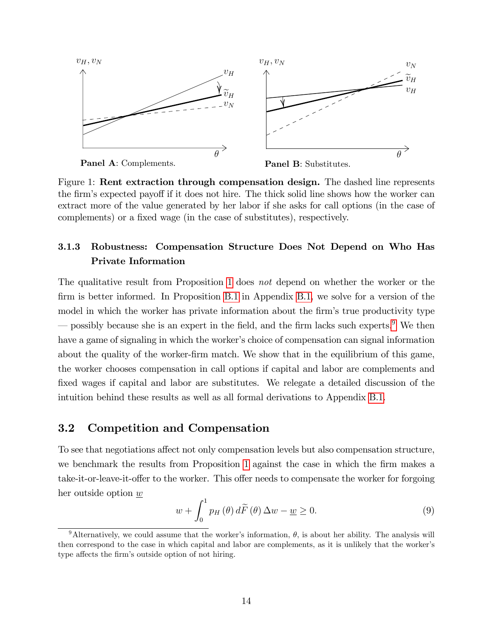

<span id="page-13-1"></span>Panel A: Complements.

Panel B: Substitutes.

Figure 1: Rent extraction through compensation design. The dashed line represents the firm's expected payoff if it does not hire. The thick solid line shows how the worker can extract more of the value generated by her labor if she asks for call options (in the case of complements) or a fixed wage (in the case of substitutes), respectively.

### 3.1.3 Robustness: Compensation Structure Does Not Depend on Who Has Private Information

The qualitative result from Proposition [1](#page-12-0) does not depend on whether the worker or the firm is better informed. In Proposition [B.1](#page-43-0) in Appendix [B.1,](#page-43-1) we solve for a version of the model in which the worker has private information about the firm's true productivity type  $\sim$  possibly because she is an expert in the field, and the firm lacks such experts.<sup>[9](#page-13-2)</sup> We then have a game of signaling in which the worker's choice of compensation can signal information about the quality of the worker-firm match. We show that in the equilibrium of this game, the worker chooses compensation in call options if capital and labor are complements and fixed wages if capital and labor are substitutes. We relegate a detailed discussion of the intuition behind these results as well as all formal derivations to Appendix [B.1.](#page-43-1)

### <span id="page-13-0"></span>3.2 Competition and Compensation

To see that negotiations affect not only compensation levels but also compensation structure, we benchmark the results from Proposition [1](#page-12-0) against the case in which the firm makes a take-it-or-leave-it-offer to the worker. This offer needs to compensate the worker for forgoing her outside option w

<span id="page-13-3"></span>
$$
w + \int_0^1 p_H(\theta) d\widetilde{F}(\theta) \Delta w - \underline{w} \ge 0.
$$
 (9)

<span id="page-13-2"></span><sup>&</sup>lt;sup>9</sup>Alternatively, we could assume that the worker's information,  $\theta$ , is about her ability. The analysis will then correspond to the case in which capital and labor are complements, as it is unlikely that the worker's type affects the firm's outside option of not hiring.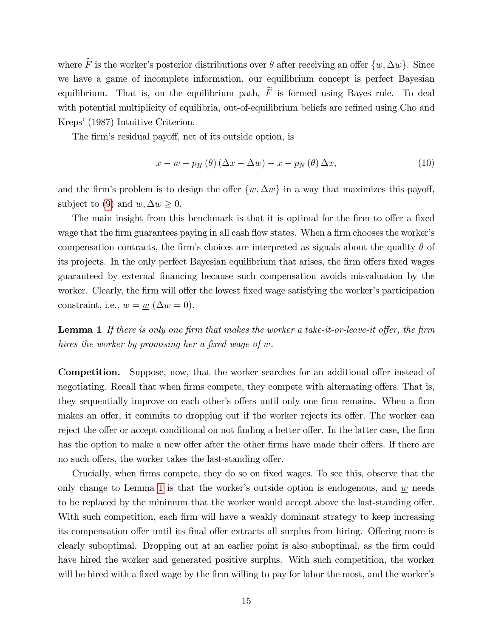where  $\widetilde{F}$  is the worker's posterior distributions over  $\theta$  after receiving an offer  $\{w, \Delta w\}$ . Since we have a game of incomplete information, our equilibrium concept is perfect Bayesian equilibrium. That is, on the equilibrium path,  $\widetilde{F}$  is formed using Bayes rule. To deal with potential multiplicity of equilibria, out-of-equilibrium beliefs are refined using Cho and Kreps' (1987) Intuitive Criterion.

The firm's residual payoff, net of its outside option, is

$$
x - w + p_H(\theta) (\Delta x - \Delta w) - x - p_N(\theta) \Delta x, \qquad (10)
$$

and the firm's problem is to design the offer  $\{w, \Delta w\}$  in a way that maximizes this payoff, subject to [\(9\)](#page-13-3) and  $w, \Delta w \geq 0$ .

The main insight from this benchmark is that it is optimal for the firm to offer a fixed wage that the firm guarantees paying in all cash flow states. When a firm chooses the worker's compensation contracts, the firm's choices are interpreted as signals about the quality  $\theta$  of its projects. In the only perfect Bayesian equilibrium that arises, the firm offers fixed wages guaranteed by external Önancing because such compensation avoids misvaluation by the worker. Clearly, the firm will offer the lowest fixed wage satisfying the worker's participation constraint, i.e.,  $w = \underline{w} (\Delta w = 0)$ .

<span id="page-14-0"></span>**Lemma 1** If there is only one firm that makes the worker a take-it-or-leave-it offer, the firm hires the worker by promising her a fixed wage of  $w$ .

**Competition.** Suppose, now, that the worker searches for an additional offer instead of negotiating. Recall that when firms compete, they compete with alternating offers. That is, they sequentially improve on each other's offers until only one firm remains. When a firm makes an offer, it commits to dropping out if the worker rejects its offer. The worker can reject the offer or accept conditional on not finding a better offer. In the latter case, the firm has the option to make a new offer after the other firms have made their offers. If there are no such offers, the worker takes the last-standing offer.

Crucially, when firms compete, they do so on fixed wages. To see this, observe that the only change to Lemma [1](#page-14-0) is that the worker's outside option is endogenous, and  $w$  needs to be replaced by the minimum that the worker would accept above the last-standing offer. With such competition, each firm will have a weakly dominant strategy to keep increasing its compensation offer until its final offer extracts all surplus from hiring. Offering more is clearly suboptimal. Dropping out at an earlier point is also suboptimal, as the firm could have hired the worker and generated positive surplus. With such competition, the worker will be hired with a fixed wage by the firm willing to pay for labor the most, and the worker's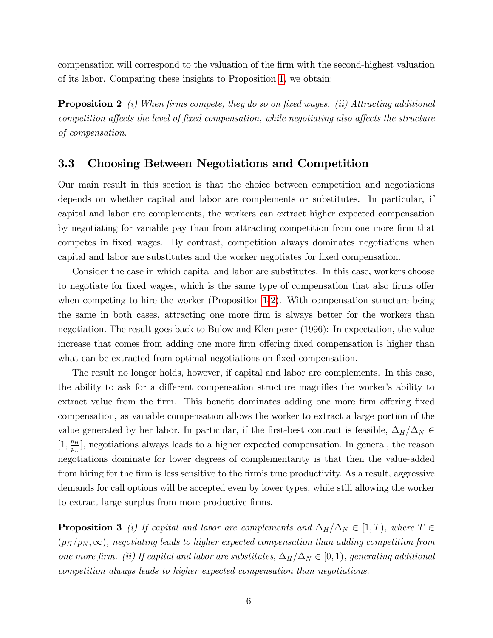compensation will correspond to the valuation of the Örm with the second-highest valuation of its labor. Comparing these insights to Proposition [1,](#page-12-0) we obtain:

<span id="page-15-0"></span>**Proposition 2** (i) When firms compete, they do so on fixed wages. (ii) Attracting additional competition affects the level of fixed compensation, while negotiating also affects the structure of compensation.

### 3.3 Choosing Between Negotiations and Competition

Our main result in this section is that the choice between competition and negotiations depends on whether capital and labor are complements or substitutes. In particular, if capital and labor are complements, the workers can extract higher expected compensation by negotiating for variable pay than from attracting competition from one more firm that competes in fixed wages. By contrast, competition always dominates negotiations when capital and labor are substitutes and the worker negotiates for Öxed compensation.

Consider the case in which capital and labor are substitutes. In this case, workers choose to negotiate for fixed wages, which is the same type of compensation that also firms offer when competing to hire the worker (Proposition [1](#page-12-0)[-2\)](#page-15-0). With compensation structure being the same in both cases, attracting one more firm is always better for the workers than negotiation. The result goes back to Bulow and Klemperer (1996): In expectation, the value increase that comes from adding one more firm offering fixed compensation is higher than what can be extracted from optimal negotiations on fixed compensation.

The result no longer holds, however, if capital and labor are complements. In this case, the ability to ask for a different compensation structure magnifies the worker's ability to extract value from the firm. This benefit dominates adding one more firm offering fixed compensation, as variable compensation allows the worker to extract a large portion of the value generated by her labor. In particular, if the first-best contract is feasible,  $\Delta_H/\Delta_N \in$  $[1, \frac{p_H}{n_H}]$  $\frac{p_H}{p_L}$ , negotiations always leads to a higher expected compensation. In general, the reason negotiations dominate for lower degrees of complementarity is that then the value-added from hiring for the firm is less sensitive to the firm's true productivity. As a result, aggressive demands for call options will be accepted even by lower types, while still allowing the worker to extract large surplus from more productive firms.

<span id="page-15-1"></span>**Proposition 3** (i) If capital and labor are complements and  $\Delta_H/\Delta_N \in [1, T)$ , where  $T \in$  $(p_H/p_N,\infty)$ , negotiating leads to higher expected compensation than adding competition from one more firm. (ii) If capital and labor are substitutes,  $\Delta_H/\Delta_N \in [0, 1)$ , generating additional competition always leads to higher expected compensation than negotiations.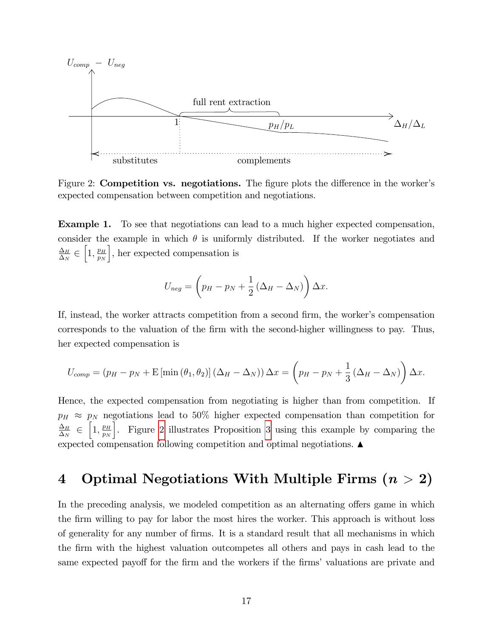

<span id="page-16-1"></span>Figure 2: **Competition vs. negotiations.** The figure plots the difference in the worker's expected compensation between competition and negotiations.

Example 1. To see that negotiations can lead to a much higher expected compensation, consider the example in which  $\theta$  is uniformly distributed. If the worker negotiates and  $\Delta_H$  $\frac{m}{\Delta_N}$   $\in$  $\left[1,\frac{p_H}{n_H}\right]$  $p_N$ |, her expected compensation is

$$
U_{neg} = \left(p_H - p_N + \frac{1}{2} \left(\Delta_H - \Delta_N\right)\right) \Delta x.
$$

If, instead, the worker attracts competition from a second firm, the worker's compensation corresponds to the valuation of the Örm with the second-higher willingness to pay. Thus, her expected compensation is

$$
U_{comp} = (p_H - p_N + \mathbb{E}[\min(\theta_1, \theta_2)] (\Delta_H - \Delta_N)) \Delta x = \left(p_H - p_N + \frac{1}{3}(\Delta_H - \Delta_N)\right) \Delta x.
$$

Hence, the expected compensation from negotiating is higher than from competition. If  $p_H \approx p_N$  negotiations lead to 50% higher expected compensation than competition for  $\Delta_H$  $\frac{\overline{\Delta}_{1}}{\Delta_{N}}$   $\in$  $\left[1,\frac{p_H}{n_H}\right]$  $p_N$ i . Figure [2](#page-16-1) illustrates Proposition [3](#page-15-1) using this example by comparing the expected compensation following competition and optimal negotiations.  $\blacktriangle$ 

# <span id="page-16-0"></span>4 Optimal Negotiations With Multiple Firms  $(n > 2)$

In the preceding analysis, we modeled competition as an alternating offers game in which the Örm willing to pay for labor the most hires the worker. This approach is without loss of generality for any number of Örms. It is a standard result that all mechanisms in which the Örm with the highest valuation outcompetes all others and pays in cash lead to the same expected payoff for the firm and the workers if the firms' valuations are private and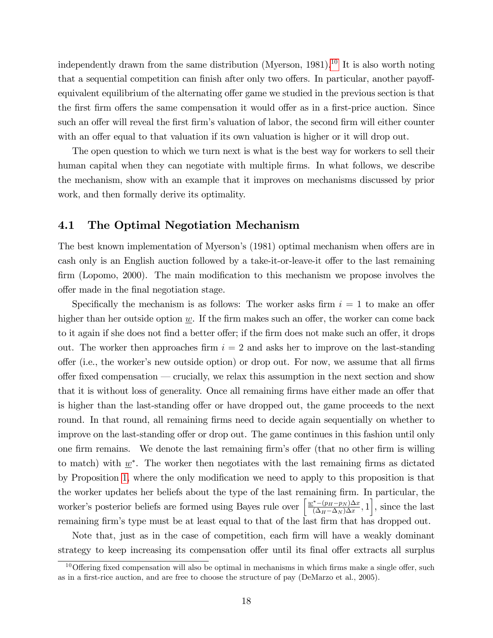independently drawn from the same distribution (Myerson,  $1981$ ).<sup>[10](#page-17-0)</sup> It is also worth noting that a sequential competition can finish after only two offers. In particular, another payoffequivalent equilibrium of the alternating offer game we studied in the previous section is that the first firm offers the same compensation it would offer as in a first-price auction. Since such an offer will reveal the first firm's valuation of labor, the second firm will either counter with an offer equal to that valuation if its own valuation is higher or it will drop out.

The open question to which we turn next is what is the best way for workers to sell their human capital when they can negotiate with multiple firms. In what follows, we describe the mechanism, show with an example that it improves on mechanisms discussed by prior work, and then formally derive its optimality.

### 4.1 The Optimal Negotiation Mechanism

The best known implementation of Myerson's (1981) optimal mechanism when offers are in cash only is an English auction followed by a take-it-or-leave-it offer to the last remaining firm (Lopomo, 2000). The main modification to this mechanism we propose involves the offer made in the final negotiation stage.

Specifically the mechanism is as follows: The worker asks firm  $i = 1$  to make an offer higher than her outside option  $\underline{w}$ . If the firm makes such an offer, the worker can come back to it again if she does not find a better offer; if the firm does not make such an offer, it drops out. The worker then approaches firm  $i = 2$  and asks her to improve on the last-standing offer (i.e., the worker's new outside option) or drop out. For now, we assume that all firms offer fixed compensation  $\sim$  crucially, we relax this assumption in the next section and show that it is without loss of generality. Once all remaining firms have either made an offer that is higher than the last-standing offer or have dropped out, the game proceeds to the next round. In that round, all remaining firms need to decide again sequentially on whether to improve on the last-standing offer or drop out. The game continues in this fashion until only one firm remains. We denote the last remaining firm's offer (that no other firm is willing to match) with  $\underline{w}^*$ . The worker then negotiates with the last remaining firms as dictated by Proposition [1,](#page-12-0) where the only modification we need to apply to this proposition is that the worker updates her beliefs about the type of the last remaining Örm. In particular, the worker's posterior beliefs are formed using Bayes rule over  $\left[\frac{\underline{w}^* - (p_H - p_N)\Delta x}{(\Delta_H - \Delta_N)\Delta x}\right]$  $\left[\frac{(-\left(p_H - p_N\right)\Delta x}{\left(\Delta_H - \Delta_N\right)\Delta x}, 1\right]$ , since the last remaining firm's type must be at least equal to that of the last firm that has dropped out.

Note that, just as in the case of competition, each firm will have a weakly dominant strategy to keep increasing its compensation offer until its final offer extracts all surplus

<span id="page-17-0"></span> $10<sup>10</sup>$  Offering fixed compensation will also be optimal in mechanisms in which firms make a single offer, such as in a first-rice auction, and are free to choose the structure of pay (DeMarzo et al., 2005).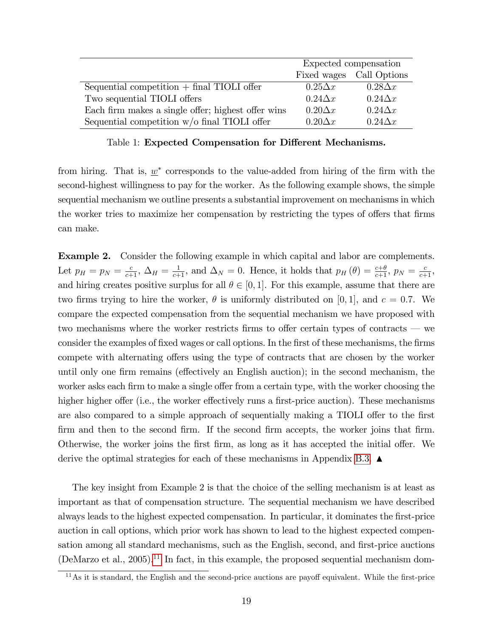|                                                    | Expected compensation |                |
|----------------------------------------------------|-----------------------|----------------|
|                                                    | Fixed wages           | Call Options   |
| Sequential competition $+$ final TIOLI offer       | $0.25\Delta x$        | $0.28\Delta x$ |
| Two sequential TIOLI offers                        | $0.24\Delta x$        | $0.24\Delta x$ |
| Each firm makes a single offer; highest offer wins | $0.20\Delta x$        | $0.24\Delta x$ |
| Sequential competition $w/o$ final TIOLI offer     | $0.20\Delta x$        | $0.24\Delta x$ |

Table 1: Expected Compensation for Different Mechanisms.

from hiring. That is,  $\underline{w}^*$  corresponds to the value-added from hiring of the firm with the second-highest willingness to pay for the worker. As the following example shows, the simple sequential mechanism we outline presents a substantial improvement on mechanisms in which the worker tries to maximize her compensation by restricting the types of offers that firms can make.

Example 2. Consider the following example in which capital and labor are complements. Let  $p_H = p_N = \frac{c}{c+1}$ ,  $\Delta_H = \frac{1}{c+1}$ , and  $\Delta_N = 0$ . Hence, it holds that  $p_H(\theta) = \frac{c+\theta}{c+1}$ ,  $p_N = \frac{c}{c+1}$ , and hiring creates positive surplus for all  $\theta \in [0, 1]$ . For this example, assume that there are two firms trying to hire the worker,  $\theta$  is uniformly distributed on [0,1], and  $c = 0.7$ . We compare the expected compensation from the sequential mechanism we have proposed with two mechanisms where the worker restricts firms to offer certain types of contracts  $\sim$  we consider the examples of fixed wages or call options. In the first of these mechanisms, the firms compete with alternating offers using the type of contracts that are chosen by the worker until only one firm remains (effectively an English auction); in the second mechanism, the worker asks each firm to make a single offer from a certain type, with the worker choosing the higher higher offer (i.e., the worker effectively runs a first-price auction). These mechanisms are also compared to a simple approach of sequentially making a TIOLI offer to the first firm and then to the second firm. If the second firm accepts, the worker joins that firm. Otherwise, the worker joins the first firm, as long as it has accepted the initial offer. We derive the optimal strategies for each of these mechanisms in Appendix [B.3.](#page-49-0)  $\blacktriangle$ 

The key insight from Example 2 is that the choice of the selling mechanism is at least as important as that of compensation structure. The sequential mechanism we have described always leads to the highest expected compensation. In particular, it dominates the first-price auction in call options, which prior work has shown to lead to the highest expected compensation among all standard mechanisms, such as the English, second, and first-price auctions (DeMarzo et al., 2005).<sup>[11](#page-18-0)</sup> In fact, in this example, the proposed sequential mechanism dom-

<span id="page-18-0"></span> $11\text{As it is standard, the English and the second-price auctions are payoff equivalent. While the first-price$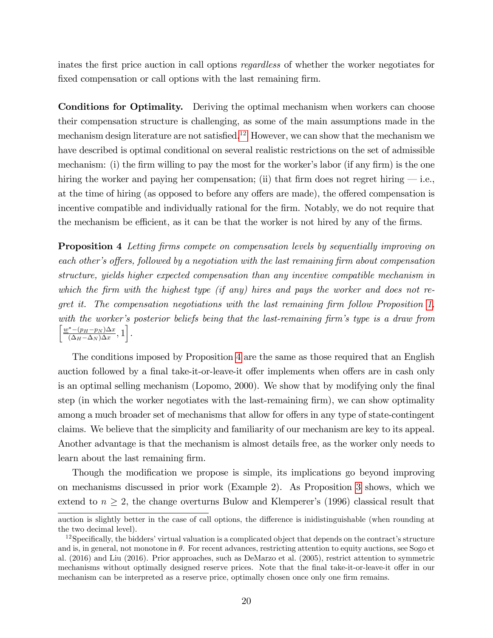inates the first price auction in call options *regardless* of whether the worker negotiates for fixed compensation or call options with the last remaining firm.

Conditions for Optimality. Deriving the optimal mechanism when workers can choose their compensation structure is challenging, as some of the main assumptions made in the mechanism design literature are not satisfied.<sup>[12](#page-19-0)</sup> However, we can show that the mechanism we have described is optimal conditional on several realistic restrictions on the set of admissible mechanism: (i) the firm willing to pay the most for the worker's labor (if any firm) is the one hiring the worker and paying her compensation; (ii) that firm does not regret hiring  $-$  i.e., at the time of hiring (as opposed to before any offers are made), the offered compensation is incentive compatible and individually rational for the firm. Notably, we do not require that the mechanism be efficient, as it can be that the worker is not hired by any of the firms.

<span id="page-19-1"></span>**Proposition 4** Letting firms compete on compensation levels by sequentially improving on each other's offers, followed by a negotiation with the last remaining firm about compensation structure, yields higher expected compensation than any incentive compatible mechanism in which the firm with the highest type (if any) hires and pays the worker and does not re-gret it. The compensation negotiations with the last remaining firm follow Proposition [1,](#page-12-0) with the worker's posterior beliefs being that the last-remaining firm's type is a draw from  $\frac{w^*-(p_H-p_N)\Delta x}{\Delta x}$  $\frac{(\Delta_H - p_N)\Delta x}{(\Delta_H - \Delta_N)\Delta x}, 1 \right].$ 

The conditions imposed by Proposition [4](#page-19-1) are the same as those required that an English auction followed by a final take-it-or-leave-it offer implements when offers are in cash only is an optimal selling mechanism (Lopomo, 2000). We show that by modifying only the final step (in which the worker negotiates with the last-remaining firm), we can show optimality among a much broader set of mechanisms that allow for offers in any type of state-contingent claims. We believe that the simplicity and familiarity of our mechanism are key to its appeal. Another advantage is that the mechanism is almost details free, as the worker only needs to learn about the last remaining firm.

Though the modification we propose is simple, its implications go beyond improving on mechanisms discussed in prior work (Example 2). As Proposition [3](#page-15-1) shows, which we extend to  $n \geq 2$ , the change overturns Bulow and Klemperer's (1996) classical result that

auction is slightly better in the case of call options, the difference is inidistinguishable (when rounding at the two decimal level).

<span id="page-19-0"></span> $12$ Specifically, the bidders' virtual valuation is a complicated object that depends on the contract's structure and is, in general, not monotone in  $\theta$ . For recent advances, restricting attention to equity auctions, see Sogo et al. (2016) and Liu (2016). Prior approaches, such as DeMarzo et al. (2005), restrict attention to symmetric mechanisms without optimally designed reserve prices. Note that the final take-it-or-leave-it offer in our mechanism can be interpreted as a reserve price, optimally chosen once only one firm remains.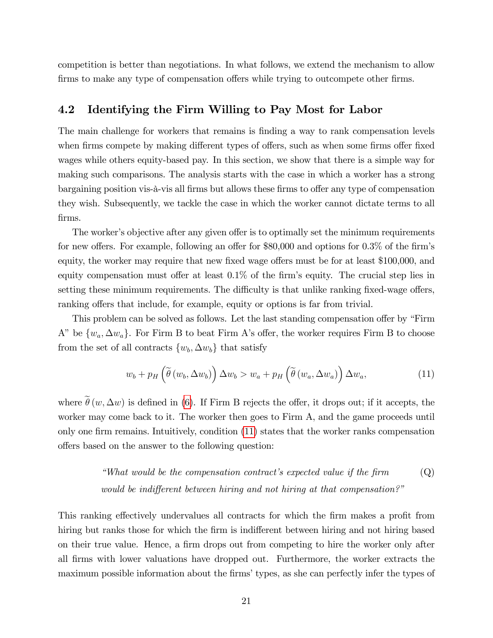competition is better than negotiations. In what follows, we extend the mechanism to allow firms to make any type of compensation offers while trying to outcompete other firms.

### 4.2 Identifying the Firm Willing to Pay Most for Labor

The main challenge for workers that remains is finding a way to rank compensation levels when firms compete by making different types of offers, such as when some firms offer fixed wages while others equity-based pay. In this section, we show that there is a simple way for making such comparisons. The analysis starts with the case in which a worker has a strong bargaining position vis- $\ddot{a}$ -vis all firms but allows these firms to offer any type of compensation they wish. Subsequently, we tackle the case in which the worker cannot dictate terms to all firms.

The worker's objective after any given offer is to optimally set the minimum requirements for new offers. For example, following an offer for  $$80,000$  and options for  $0.3\%$  of the firm's equity, the worker may require that new fixed wage offers must be for at least \$100,000, and equity compensation must offer at least  $0.1\%$  of the firm's equity. The crucial step lies in setting these minimum requirements. The difficulty is that unlike ranking fixed-wage offers, ranking offers that include, for example, equity or options is far from trivial.

This problem can be solved as follows. Let the last standing compensation offer by "Firm" A" be  $\{w_a, \Delta w_a\}$ . For Firm B to beat Firm A's offer, the worker requires Firm B to choose from the set of all contracts  $\{w_b, \Delta w_b\}$  that satisfy

<span id="page-20-0"></span>
$$
w_b + p_H\left(\widetilde{\theta}\left(w_b, \Delta w_b\right)\right) \Delta w_b > w_a + p_H\left(\widetilde{\theta}\left(w_a, \Delta w_a\right)\right) \Delta w_a, \tag{11}
$$

where  $\tilde{\theta}(w, \Delta w)$  is defined in [\(6\)](#page-10-1). If Firm B rejects the offer, it drops out; if it accepts, the worker may come back to it. The worker then goes to Firm A, and the game proceeds until only one firm remains. Intuitively, condition  $(11)$  states that the worker ranks compensation offers based on the answer to the following question:

> "What would be the compensation contract's expected value if the firm  $\qquad \qquad \text{(Q)}$ would be indifferent between hiring and not hiring at that compensation?"

This ranking effectively undervalues all contracts for which the firm makes a profit from hiring but ranks those for which the firm is indifferent between hiring and not hiring based on their true value. Hence, a firm drops out from competing to hire the worker only after all Örms with lower valuations have dropped out. Furthermore, the worker extracts the maximum possible information about the firms' types, as she can perfectly infer the types of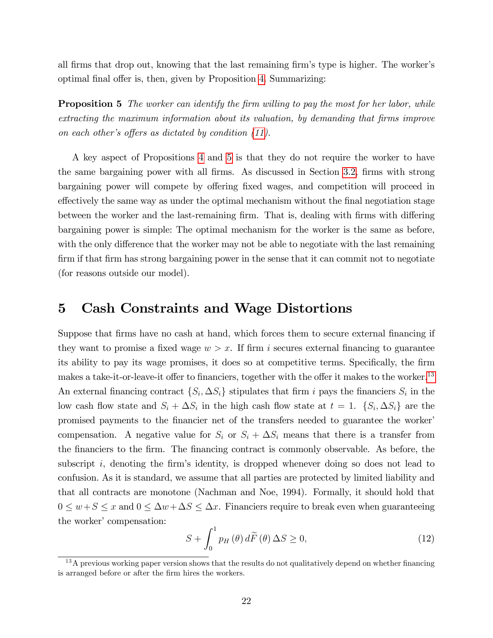all firms that drop out, knowing that the last remaining firm's type is higher. The worker's optimal final offer is, then, given by Proposition [4.](#page-19-1) Summarizing:

<span id="page-21-1"></span>**Proposition 5** The worker can identify the firm willing to pay the most for her labor, while extracting the maximum information about its valuation, by demanding that firms improve on each other's offers as dictated by condition  $(11)$ .

A key aspect of Propositions [4](#page-19-1) and [5](#page-21-1) is that they do not require the worker to have the same bargaining power with all firms. As discussed in Section [3.2,](#page-13-0) firms with strong bargaining power will compete by offering fixed wages, and competition will proceed in effectively the same way as under the optimal mechanism without the final negotiation stage between the worker and the last-remaining firm. That is, dealing with firms with differing bargaining power is simple: The optimal mechanism for the worker is the same as before, with the only difference that the worker may not be able to negotiate with the last remaining firm if that firm has strong bargaining power in the sense that it can commit not to negotiate (for reasons outside our model).

### <span id="page-21-0"></span>5 Cash Constraints and Wage Distortions

Suppose that firms have no cash at hand, which forces them to secure external financing if they want to promise a fixed wage  $w > x$ . If firm i secures external financing to guarantee its ability to pay its wage promises, it does so at competitive terms. Specifically, the firm makes a take-it-or-leave-it offer to financiers, together with the offer it makes to the worker.<sup>[13](#page-21-2)</sup> An external financing contract  $\{S_i, \Delta S_i\}$  stipulates that firm i pays the financiers  $S_i$  in the low cash flow state and  $S_i + \Delta S_i$  in the high cash flow state at  $t = 1$ .  $\{S_i, \Delta S_i\}$  are the promised payments to the financier net of the transfers needed to guarantee the worker compensation. A negative value for  $S_i$  or  $S_i + \Delta S_i$  means that there is a transfer from the financiers to the firm. The financing contract is commonly observable. As before, the subscript  $i$ , denoting the firm's identity, is dropped whenever doing so does not lead to confusion. As it is standard, we assume that all parties are protected by limited liability and that all contracts are monotone (Nachman and Noe, 1994). Formally, it should hold that  $0 \leq w+S \leq x$  and  $0 \leq \Delta w+\Delta S \leq \Delta x$ . Financiers require to break even when guaranteeing the worker' compensation:

$$
S + \int_0^1 p_H(\theta) d\widetilde{F}(\theta) \Delta S \ge 0,
$$
\n(12)

<span id="page-21-2"></span> $13A$  previous working paper version shows that the results do not qualitatively depend on whether financing is arranged before or after the firm hires the workers.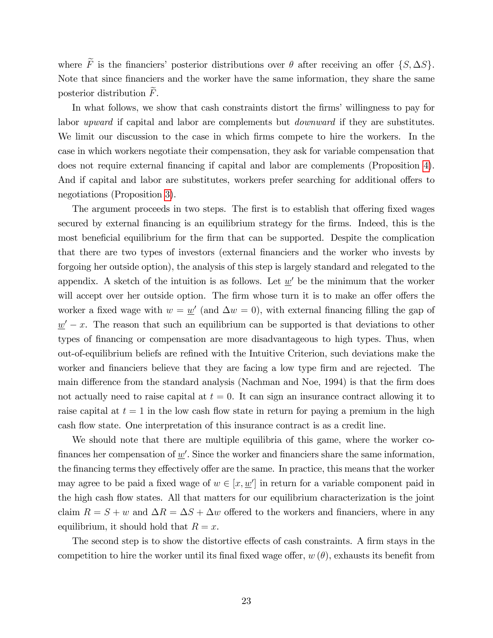where  $\widetilde{F}$  is the financiers' posterior distributions over  $\theta$  after receiving an offer  $\{S, \Delta S\}$ . Note that since financiers and the worker have the same information, they share the same posterior distribution  $F$ .

In what follows, we show that cash constraints distort the firms' willingness to pay for labor upward if capital and labor are complements but downward if they are substitutes. We limit our discussion to the case in which firms compete to hire the workers. In the case in which workers negotiate their compensation, they ask for variable compensation that does not require external Önancing if capital and labor are complements (Proposition [4\)](#page-19-1). And if capital and labor are substitutes, workers prefer searching for additional offers to negotiations (Proposition [3\)](#page-15-1).

The argument proceeds in two steps. The first is to establish that offering fixed wages secured by external financing is an equilibrium strategy for the firms. Indeed, this is the most beneficial equilibrium for the firm that can be supported. Despite the complication that there are two types of investors (external financiers and the worker who invests by forgoing her outside option), the analysis of this step is largely standard and relegated to the appendix. A sketch of the intuition is as follows. Let  $\underline{w}'$  be the minimum that the worker will accept over her outside option. The firm whose turn it is to make an offer offers the worker a fixed wage with  $w = w'$  (and  $\Delta w = 0$ ), with external financing filling the gap of  $\underline{w}' - x$ . The reason that such an equilibrium can be supported is that deviations to other types of financing or compensation are more disadvantageous to high types. Thus, when out-of-equilibrium beliefs are reÖned with the Intuitive Criterion, such deviations make the worker and financiers believe that they are facing a low type firm and are rejected. The main difference from the standard analysis (Nachman and Noe, 1994) is that the firm does not actually need to raise capital at  $t = 0$ . It can sign an insurance contract allowing it to raise capital at  $t = 1$  in the low cash flow state in return for paying a premium in the high cash flow state. One interpretation of this insurance contract is as a credit line.

We should note that there are multiple equilibria of this game, where the worker cofinances her compensation of  $\underline{w}'$ . Since the worker and financiers share the same information, the financing terms they effectively offer are the same. In practice, this means that the worker may agree to be paid a fixed wage of  $w \in [x, \underline{w'}]$  in return for a variable component paid in the high cash flow states. All that matters for our equilibrium characterization is the joint claim  $R = S + w$  and  $\Delta R = \Delta S + \Delta w$  offered to the workers and financiers, where in any equilibrium, it should hold that  $R = x$ .

The second step is to show the distortive effects of cash constraints. A firm stays in the competition to hire the worker until its final fixed wage offer,  $w(\theta)$ , exhausts its benefit from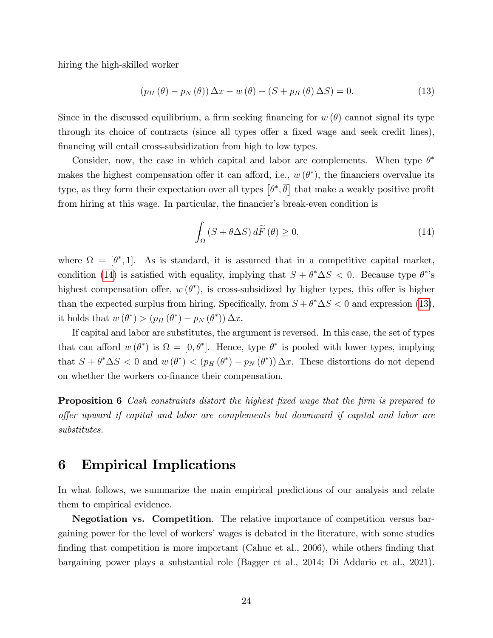hiring the high-skilled worker

<span id="page-23-1"></span>
$$
\left(p_H\left(\theta\right) - p_N\left(\theta\right)\right) \Delta x - w\left(\theta\right) - \left(S + p_H\left(\theta\right)\Delta S\right) = 0. \tag{13}
$$

Since in the discussed equilibrium, a firm seeking financing for  $w(\theta)$  cannot signal its type through its choice of contracts (since all types offer a fixed wage and seek credit lines), financing will entail cross-subsidization from high to low types.

Consider, now, the case in which capital and labor are complements. When type  $\theta^*$ makes the highest compensation offer it can afford, i.e.,  $w(\theta^*)$ , the financiers overvalue its type, as they form their expectation over all types  $\left[\theta^*, \overline{\theta}\right]$  that make a weakly positive profit from hiring at this wage. In particular, the financier's break-even condition is

<span id="page-23-0"></span>
$$
\int_{\Omega} \left( S + \theta \Delta S \right) d\tilde{F} \left( \theta \right) \ge 0,\tag{14}
$$

where  $\Omega = [\theta^*, 1]$ . As is standard, it is assumed that in a competitive capital market, condition [\(14\)](#page-23-0) is satisfied with equality, implying that  $S + \theta^* \Delta S < 0$ . Because type  $\theta^*$ 's highest compensation offer,  $w(\theta^*)$ , is cross-subsidized by higher types, this offer is higher than the expected surplus from hiring. Specifically, from  $S + \theta^* \Delta S < 0$  and expression [\(13\)](#page-23-1), it holds that  $w(\theta^*) > (p_H(\theta^*) - p_N(\theta^*)) \Delta x$ .

If capital and labor are substitutes, the argument is reversed. In this case, the set of types that can afford  $w(\theta^*)$  is  $\Omega = [0, \theta^*]$ . Hence, type  $\theta^*$  is pooled with lower types, implying that  $S + \theta^* \Delta S < 0$  and  $w(\theta^*) < (p_H(\theta^*) - p_N(\theta^*)) \Delta x$ . These distortions do not depend on whether the workers co-finance their compensation.

<span id="page-23-2"></span>**Proposition 6** Cash constraints distort the highest fixed wage that the firm is prepared to offer upward if capital and labor are complements but downward if capital and labor are substitutes.

# 6 Empirical Implications

In what follows, we summarize the main empirical predictions of our analysis and relate them to empirical evidence.

Negotiation vs. Competition. The relative importance of competition versus bargaining power for the level of workersíwages is debated in the literature, with some studies finding that competition is more important (Cahuc et al., 2006), while others finding that bargaining power plays a substantial role (Bagger et al., 2014; Di Addario et al., 2021).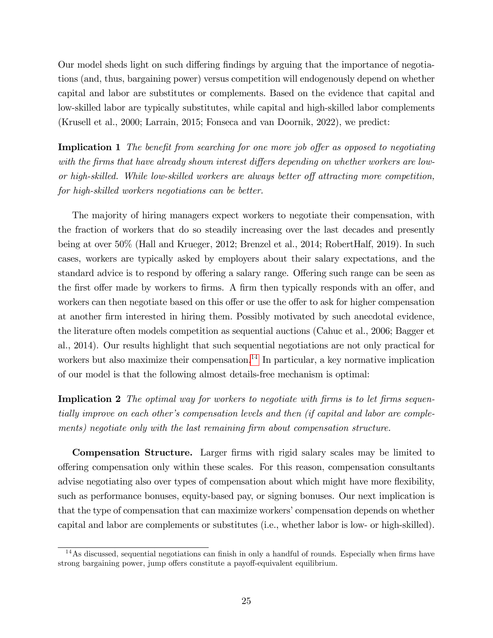Our model sheds light on such differing findings by arguing that the importance of negotiations (and, thus, bargaining power) versus competition will endogenously depend on whether capital and labor are substitutes or complements. Based on the evidence that capital and low-skilled labor are typically substitutes, while capital and high-skilled labor complements (Krusell et al., 2000; Larrain, 2015; Fonseca and van Doornik, 2022), we predict:

**Implication 1** The benefit from searching for one more job offer as opposed to negotiating with the firms that have already shown interest differs depending on whether workers are lowor high-skilled. While low-skilled workers are always better off attracting more competition, for high-skilled workers negotiations can be better.

The majority of hiring managers expect workers to negotiate their compensation, with the fraction of workers that do so steadily increasing over the last decades and presently being at over 50% (Hall and Krueger, 2012; Brenzel et al., 2014; RobertHalf, 2019). In such cases, workers are typically asked by employers about their salary expectations, and the standard advice is to respond by offering a salary range. Offering such range can be seen as the first offer made by workers to firms. A firm then typically responds with an offer, and workers can then negotiate based on this offer or use the offer to ask for higher compensation at another Örm interested in hiring them. Possibly motivated by such anecdotal evidence, the literature often models competition as sequential auctions (Cahuc et al., 2006; Bagger et al., 2014). Our results highlight that such sequential negotiations are not only practical for workers but also maximize their compensation.<sup>[14](#page-24-0)</sup> In particular, a key normative implication of our model is that the following almost details-free mechanism is optimal:

<span id="page-24-2"></span>Implication 2 The optimal way for workers to negotiate with firms is to let firms sequentially improve on each other's compensation levels and then (if capital and labor are complements) negotiate only with the last remaining firm about compensation structure.

**Compensation Structure.** Larger firms with rigid salary scales may be limited to offering compensation only within these scales. For this reason, compensation consultants advise negotiating also over types of compensation about which might have more flexibility, such as performance bonuses, equity-based pay, or signing bonuses. Our next implication is that the type of compensation that can maximize workers' compensation depends on whether capital and labor are complements or substitutes (i.e., whether labor is low- or high-skilled).

<span id="page-24-1"></span><span id="page-24-0"></span> $14$ As discussed, sequential negotiations can finish in only a handful of rounds. Especially when firms have strong bargaining power, jump offers constitute a payoff-equivalent equilibrium.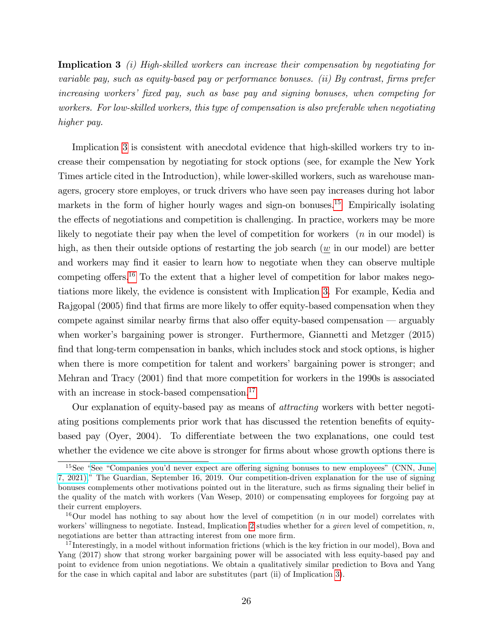Implication 3 (i) High-skilled workers can increase their compensation by negotiating for variable pay, such as equity-based pay or performance bonuses. (ii) By contrast, firms prefer increasing workers' fixed pay, such as base pay and signing bonuses, when competing for workers. For low-skilled workers, this type of compensation is also preferable when negotiating higher pay.

Implication [3](#page-24-1) is consistent with anecdotal evidence that high-skilled workers try to increase their compensation by negotiating for stock options (see, for example the New York Times article cited in the Introduction), while lower-skilled workers, such as warehouse managers, grocery store employes, or truck drivers who have seen pay increases during hot labor markets in the form of higher hourly wages and sign-on bonuses.<sup>[15](#page-25-0)</sup> Empirically isolating the effects of negotiations and competition is challenging. In practice, workers may be more likely to negotiate their pay when the level of competition for workers  $(n \text{ in our model})$  is high, as then their outside options of restarting the job search  $(w \text{ in our model})$  are better and workers may find it easier to learn how to negotiate when they can observe multiple competing offers.<sup>[16](#page-25-1)</sup> To the extent that a higher level of competition for labor makes negotiations more likely, the evidence is consistent with Implication [3.](#page-24-1) For example, Kedia and Rajgopal (2005) find that firms are more likely to offer equity-based compensation when they compete against similar nearby firms that also offer equity-based compensation  $\sim$  arguably when worker's bargaining power is stronger. Furthermore, Giannetti and Metzger (2015) find that long-term compensation in banks, which includes stock and stock options, is higher when there is more competition for talent and workers' bargaining power is stronger; and Mehran and Tracy (2001) Önd that more competition for workers in the 1990s is associated with an increase in stock-based compensation.<sup>[17](#page-25-2)</sup>

Our explanation of equity-based pay as means of attracting workers with better negotiating positions complements prior work that has discussed the retention benefits of equitybased pay (Oyer, 2004). To differentiate between the two explanations, one could test whether the evidence we cite above is stronger for firms about whose growth options there is

<span id="page-25-0"></span> $15$ See "See "Companies you'd never expect are offering signing bonuses to new employees" (CNN, June [7, 2021\),](https://edition.cnn.com/2021/06/07/business/retail-jobs-hiring-bonus/index.html)" The Guardian, September 16, 2019. Our competition-driven explanation for the use of signing bonuses complements other motivations pointed out in the literature, such as firms signaling their belief in the quality of the match with workers (Van Wesep, 2010) or compensating employees for forgoing pay at their current employers.

<span id="page-25-1"></span><sup>&</sup>lt;sup>16</sup>Our model has nothing to say about how the level of competition  $(n \text{ in our model})$  correlates with workers' willingness to negotiate. Instead, Implication [2](#page-24-2) studies whether for a *given* level of competition,  $n$ , negotiations are better than attracting interest from one more firm.

<span id="page-25-2"></span><sup>&</sup>lt;sup>17</sup> Interestingly, in a model without information frictions (which is the key friction in our model), Bova and Yang (2017) show that strong worker bargaining power will be associated with less equity-based pay and point to evidence from union negotiations. We obtain a qualitatively similar prediction to Bova and Yang for the case in which capital and labor are substitutes (part (ii) of Implication [3\)](#page-24-1).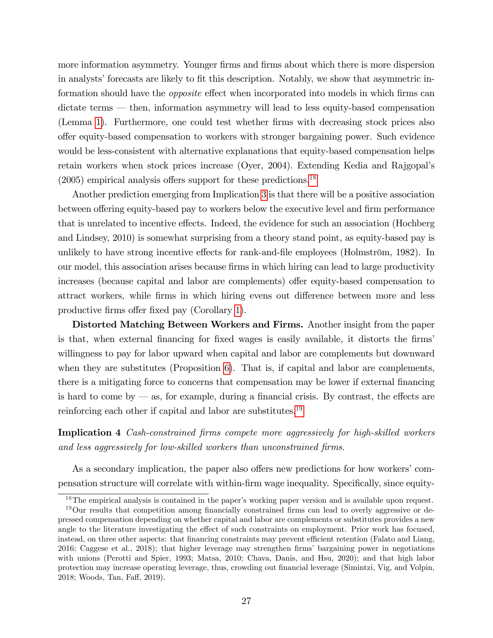more information asymmetry. Younger firms and firms about which there is more dispersion in analysts' forecasts are likely to fit this description. Notably, we show that asymmetric information should have the *opposite* effect when incorporated into models in which firms can  $dictate terms — then, information asymmetry will lead to less equity-based compensation$ (Lemma [1\)](#page-14-0). Furthermore, one could test whether Örms with decreasing stock prices also offer equity-based compensation to workers with stronger bargaining power. Such evidence would be less-consistent with alternative explanations that equity-based compensation helps retain workers when stock prices increase (Oyer, 2004). Extending Kedia and Rajgopalís  $(2005)$  empirical analysis offers support for these predictions.<sup>[18](#page-26-0)</sup>

Another prediction emerging from Implication [3](#page-24-1) is that there will be a positive association between offering equity-based pay to workers below the executive level and firm performance that is unrelated to incentive effects. Indeed, the evidence for such an association (Hochberg and Lindsey, 2010) is somewhat surprising from a theory stand point, as equity-based pay is unlikely to have strong incentive effects for rank-and-file employees (Holmström, 1982). In our model, this association arises because firms in which hiring can lead to large productivity increases (because capital and labor are complements) offer equity-based compensation to attract workers, while firms in which hiring evens out difference between more and less productive firms offer fixed pay (Corollary [1\)](#page-12-1).

Distorted Matching Between Workers and Firms. Another insight from the paper is that, when external financing for fixed wages is easily available, it distorts the firms' willingness to pay for labor upward when capital and labor are complements but downward when they are substitutes (Proposition [6\)](#page-23-2). That is, if capital and labor are complements, there is a mitigating force to concerns that compensation may be lower if external financing is hard to come by  $\sim$  as, for example, during a financial crisis. By contrast, the effects are reinforcing each other if capital and labor are substitutes.<sup>[19](#page-26-1)</sup>

Implication 4 Cash-constrained firms compete more aggressively for high-skilled workers and less aggressively for low-skilled workers than unconstrained firms.

As a secondary implication, the paper also offers new predictions for how workers' compensation structure will correlate with within-firm wage inequality. Specifically, since equity-

<span id="page-26-1"></span><span id="page-26-0"></span> $18$ The empirical analysis is contained in the paper's working paper version and is available upon request.

 $19$ Our results that competition among financially constrained firms can lead to overly aggressive or depressed compensation depending on whether capital and labor are complements or substitutes provides a new angle to the literature investigating the effect of such constraints on employment. Prior work has focused, instead, on three other aspects: that financing constraints may prevent efficient retention (Falato and Liang, 2016; Caggese et al., 2018); that higher leverage may strengthen Örmsí bargaining power in negotiations with unions (Perotti and Spier, 1993; Matsa, 2010; Chava, Danis, and Hsu, 2020); and that high labor protection may increase operating leverage, thus, crowding out financial leverage (Simintzi, Vig, and Volpin, 2018; Woods, Tan, Faff, 2019).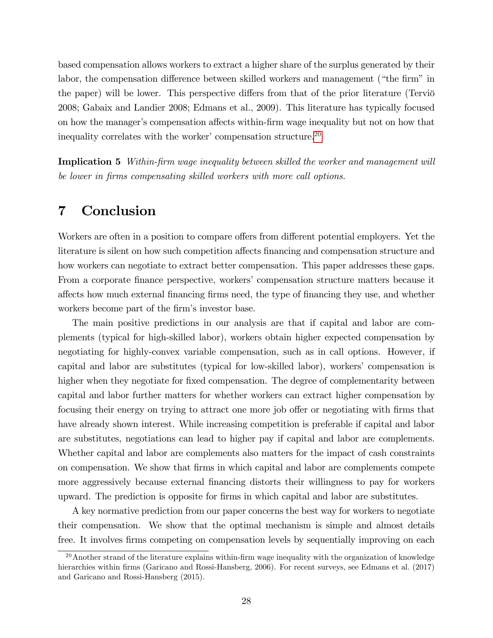based compensation allows workers to extract a higher share of the surplus generated by their labor, the compensation difference between skilled workers and management ("the firm" in the paper) will be lower. This perspective differs from that of the prior literature (Terviõ 2008; Gabaix and Landier 2008; Edmans et al., 2009). This literature has typically focused on how the manager's compensation affects within-firm wage inequality but not on how that inequality correlates with the worker' compensation structure.<sup>[20](#page-27-0)</sup>

**Implication 5** Within-firm wage inequality between skilled the worker and management will be lower in firms compensating skilled workers with more call options.

# 7 Conclusion

Workers are often in a position to compare offers from different potential employers. Yet the literature is silent on how such competition affects financing and compensation structure and how workers can negotiate to extract better compensation. This paper addresses these gaps. From a corporate finance perspective, workers' compensation structure matters because it a§ects how much external Önancing Örms need, the type of Önancing they use, and whether workers become part of the firm's investor base.

The main positive predictions in our analysis are that if capital and labor are complements (typical for high-skilled labor), workers obtain higher expected compensation by negotiating for highly-convex variable compensation, such as in call options. However, if capital and labor are substitutes (typical for low-skilled labor), workers' compensation is higher when they negotiate for fixed compensation. The degree of complementarity between capital and labor further matters for whether workers can extract higher compensation by focusing their energy on trying to attract one more job offer or negotiating with firms that have already shown interest. While increasing competition is preferable if capital and labor are substitutes, negotiations can lead to higher pay if capital and labor are complements. Whether capital and labor are complements also matters for the impact of cash constraints on compensation. We show that firms in which capital and labor are complements compete more aggressively because external financing distorts their willingness to pay for workers upward. The prediction is opposite for Örms in which capital and labor are substitutes.

A key normative prediction from our paper concerns the best way for workers to negotiate their compensation. We show that the optimal mechanism is simple and almost details free. It involves firms competing on compensation levels by sequentially improving on each

<span id="page-27-0"></span> $20$ Another strand of the literature explains within-firm wage inequality with the organization of knowledge hierarchies within firms (Garicano and Rossi-Hansberg, 2006). For recent surveys, see Edmans et al. (2017) and Garicano and Rossi-Hansberg (2015).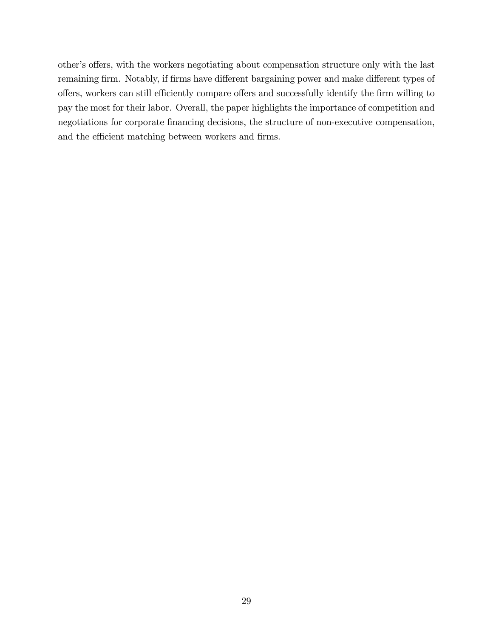other's offers, with the workers negotiating about compensation structure only with the last remaining firm. Notably, if firms have different bargaining power and make different types of offers, workers can still efficiently compare offers and successfully identify the firm willing to pay the most for their labor. Overall, the paper highlights the importance of competition and negotiations for corporate financing decisions, the structure of non-executive compensation, and the efficient matching between workers and firms.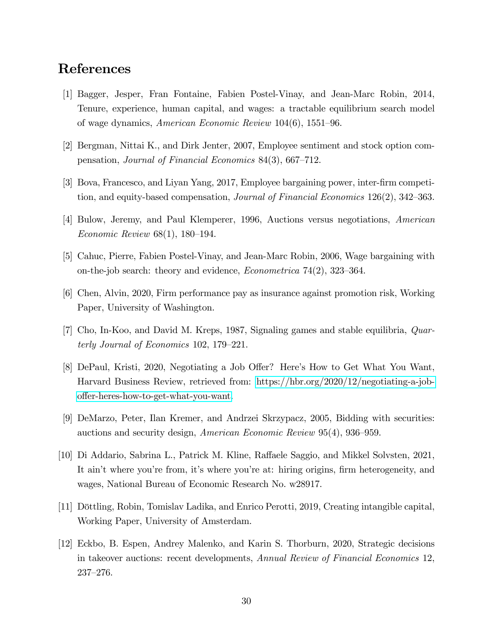# References

- [1] Bagger, Jesper, Fran Fontaine, Fabien Postel-Vinay, and Jean-Marc Robin, 2014, Tenure, experience, human capital, and wages: a tractable equilibrium search model of wage dynamics, *American Economic Review* 104(6), 1551–96.
- [2] Bergman, Nittai K., and Dirk Jenter, 2007, Employee sentiment and stock option compensation, *Journal of Financial Economics* 84(3), 667–712.
- [3] Bova, Francesco, and Liyan Yang, 2017, Employee bargaining power, inter-firm competition, and equity-based compensation, *Journal of Financial Economics*  $126(2)$ ,  $342-363$ .
- [4] Bulow, Jeremy, and Paul Klemperer, 1996, Auctions versus negotiations, American Economic Review  $68(1)$ , 180–194.
- [5] Cahuc, Pierre, Fabien Postel-Vinay, and Jean-Marc Robin, 2006, Wage bargaining with on-the-job search: theory and evidence, *Econometrica*  $74(2)$ , 323–364.
- [6] Chen, Alvin, 2020, Firm performance pay as insurance against promotion risk, Working Paper, University of Washington.
- [7] Cho, In-Koo, and David M. Kreps, 1987, Signaling games and stable equilibria, Quarterly Journal of Economics  $102$ ,  $179-221$ .
- [8] DePaul, Kristi, 2020, Negotiating a Job Offer? Here's How to Get What You Want, Harvard Business Review, retrieved from: [https://hbr.org/2020/12/negotiating-a-job](https://hbr.org/2020/12/negotiating-a-job-offer-heres-how-to-get-what-you-want)[o§er-heres-how-to-get-what-you-want.](https://hbr.org/2020/12/negotiating-a-job-offer-heres-how-to-get-what-you-want)
- [9] DeMarzo, Peter, Ilan Kremer, and Andrzei Skrzypacz, 2005, Bidding with securities: auctions and security design, *American Economic Review* 95(4), 936–959.
- [10] Di Addario, Sabrina L., Patrick M. Kline, Raffaele Saggio, and Mikkel Solvsten, 2021, It ain't where you're from, it's where you're at: hiring origins, firm heterogeneity, and wages, National Bureau of Economic Research No. w28917.
- [11] Dˆttling, Robin, Tomislav Ladika, and Enrico Perotti, 2019, Creating intangible capital, Working Paper, University of Amsterdam.
- [12] Eckbo, B. Espen, Andrey Malenko, and Karin S. Thorburn, 2020, Strategic decisions in takeover auctions: recent developments, Annual Review of Financial Economics 12,  $237 - 276.$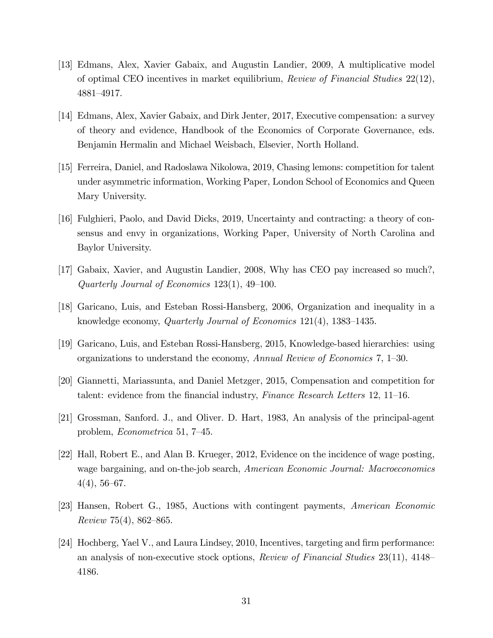- [13] Edmans, Alex, Xavier Gabaix, and Augustin Landier, 2009, A multiplicative model of optimal CEO incentives in market equilibrium, Review of Financial Studies 22(12), 4881–4917.
- [14] Edmans, Alex, Xavier Gabaix, and Dirk Jenter, 2017, Executive compensation: a survey of theory and evidence, Handbook of the Economics of Corporate Governance, eds. Benjamin Hermalin and Michael Weisbach, Elsevier, North Holland.
- [15] Ferreira, Daniel, and Radoslawa Nikolowa, 2019, Chasing lemons: competition for talent under asymmetric information, Working Paper, London School of Economics and Queen Mary University.
- [16] Fulghieri, Paolo, and David Dicks, 2019, Uncertainty and contracting: a theory of consensus and envy in organizations, Working Paper, University of North Carolina and Baylor University.
- [17] Gabaix, Xavier, and Augustin Landier, 2008, Why has CEO pay increased so much?, Quarterly Journal of Economics  $123(1)$ ,  $49-100$ .
- [18] Garicano, Luis, and Esteban Rossi-Hansberg, 2006, Organization and inequality in a knowledge economy, *Quarterly Journal of Economics*  $121(4)$ ,  $1383-1435$ .
- [19] Garicano, Luis, and Esteban Rossi-Hansberg, 2015, Knowledge-based hierarchies: using organizations to understand the economy, Annual Review of Economics  $7, 1-30$ .
- [20] Giannetti, Mariassunta, and Daniel Metzger, 2015, Compensation and competition for talent: evidence from the financial industry, *Finance Research Letters* 12, 11–16.
- [21] Grossman, Sanford. J., and Oliver. D. Hart, 1983, An analysis of the principal-agent problem, *Econometrica* 51, 7–45.
- [22] Hall, Robert E., and Alan B. Krueger, 2012, Evidence on the incidence of wage posting, wage bargaining, and on-the-job search, American Economic Journal: Macroeconomics  $4(4), 56-67.$
- [23] Hansen, Robert G., 1985, Auctions with contingent payments, American Economic  $Review 75(4), 862–865.$
- [24] Hochberg, Yael V., and Laura Lindsey, 2010, Incentives, targeting and firm performance: an analysis of non-executive stock options, *Review of Financial Studies*  $23(11)$ ,  $4148$ 4186.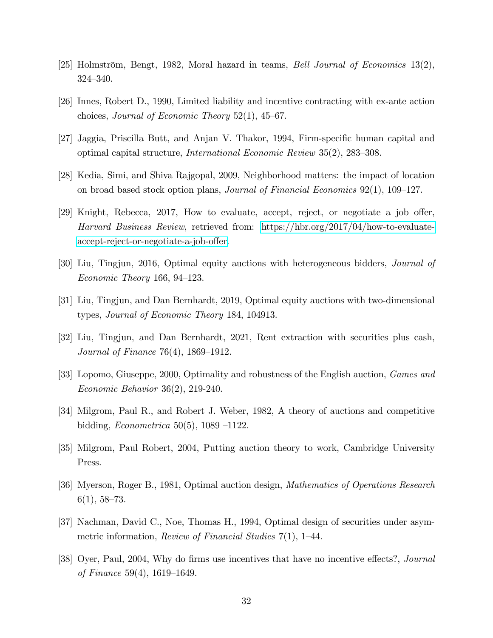- [25] Holmström, Bengt, 1982, Moral hazard in teams, *Bell Journal of Economics* 13(2), 324–340.
- [26] Innes, Robert D., 1990, Limited liability and incentive contracting with ex-ante action choices, *Journal of Economic Theory*  $52(1)$ ,  $45-67$ .
- [27] Jaggia, Priscilla Butt, and Anjan V. Thakor, 1994, Firm-specific human capital and optimal capital structure, *International Economic Review*  $35(2)$ ,  $283-308$ .
- [28] Kedia, Simi, and Shiva Rajgopal, 2009, Neighborhood matters: the impact of location on broad based stock option plans, *Journal of Financial Economics*  $92(1)$ ,  $109-127$ .
- $[29]$  Knight, Rebecca, 2017, How to evaluate, accept, reject, or negotiate a job offer, Harvard Business Review, retrieved from: [https://hbr.org/2017/04/how-to-evaluate](https://wwhttps://hbr.org/2017/04/how-to-evaluate-accept-reject-or-negotiate-a-job-offer)accept-reject-or-negotiate-a-job-offer.
- [30] Liu, Tingjun, 2016, Optimal equity auctions with heterogeneous bidders, Journal of Economic Theory 166, 94–123.
- [31] Liu, Tingjun, and Dan Bernhardt, 2019, Optimal equity auctions with two-dimensional types, Journal of Economic Theory 184, 104913.
- [32] Liu, Tingjun, and Dan Bernhardt, 2021, Rent extraction with securities plus cash, *Journal of Finance* 76(4),  $1869-1912$ .
- [33] Lopomo, Giuseppe, 2000, Optimality and robustness of the English auction, Games and Economic Behavior 36(2), 219-240.
- [34] Milgrom, Paul R., and Robert J. Weber, 1982, A theory of auctions and competitive bidding, *Econometrica* 50(5), 1089 –1122.
- [35] Milgrom, Paul Robert, 2004, Putting auction theory to work, Cambridge University Press.
- [36] Myerson, Roger B., 1981, Optimal auction design, Mathematics of Operations Research  $6(1), 58-73.$
- [37] Nachman, David C., Noe, Thomas H., 1994, Optimal design of securities under asymmetric information, *Review of Financial Studies*  $7(1)$ , 1–44.
- [38] Oyer, Paul, 2004, Why do firms use incentives that have no incentive effects?, *Journal* of Finance 59(4),  $1619-1649$ .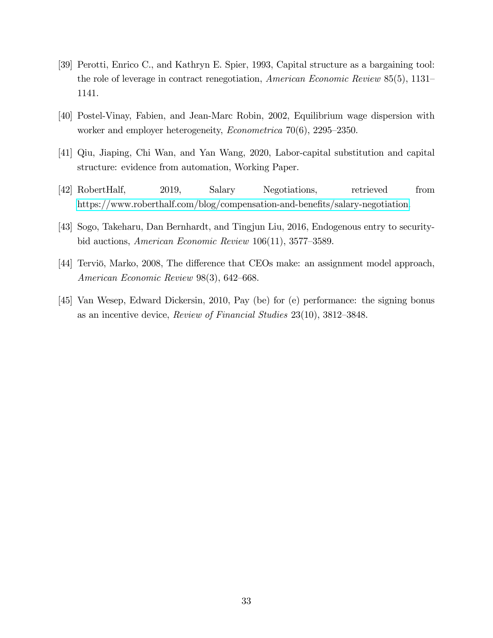- [39] Perotti, Enrico C., and Kathryn E. Spier, 1993, Capital structure as a bargaining tool: the role of leverage in contract renegotiation, American Economic Review  $85(5)$ , 1131– 1141.
- [40] Postel-Vinay, Fabien, and Jean-Marc Robin, 2002, Equilibrium wage dispersion with worker and employer heterogeneity, *Econometrica*  $70(6)$ ,  $2295-2350$ .
- [41] Qiu, Jiaping, Chi Wan, and Yan Wang, 2020, Labor-capital substitution and capital structure: evidence from automation, Working Paper.
- [42] RobertHalf, 2019, Salary Negotiations, retrieved from https://www.roberthalf.com/blog/compensation-and-benefits/salary-negotiation.
- [43] Sogo, Takeharu, Dan Bernhardt, and Tingjun Liu, 2016, Endogenous entry to securitybid auctions, American Economic Review  $106(11)$ , 3577–3589.
- [44] Terviö, Marko, 2008, The difference that CEOs make: an assignment model approach, American Economic Review  $98(3)$ , 642–668.
- [45] Van Wesep, Edward Dickersin, 2010, Pay (be) for (e) performance: the signing bonus as an incentive device, Review of Financial Studies 23(10), 3812-3848.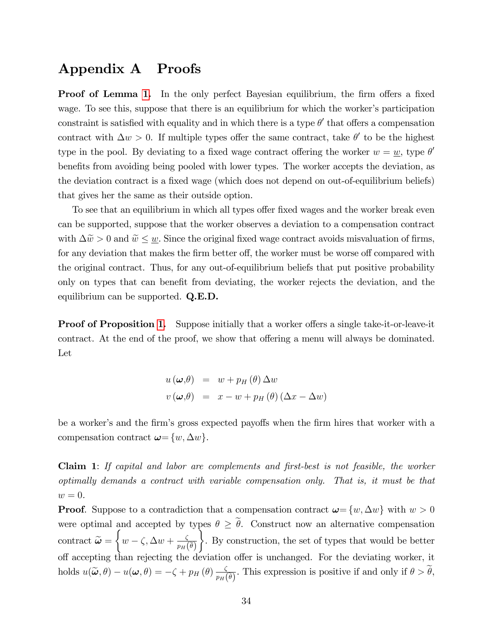# Appendix A Proofs

**Proof of Lemma [1.](#page-14-0)** In the only perfect Bayesian equilibrium, the firm offers a fixed wage. To see this, suppose that there is an equilibrium for which the worker's participation constraint is satisfied with equality and in which there is a type  $\theta'$  that offers a compensation contract with  $\Delta w > 0$ . If multiple types offer the same contract, take  $\theta'$  to be the highest type in the pool. By deviating to a fixed wage contract offering the worker  $w = \underline{w}$ , type  $\theta'$ benefits from avoiding being pooled with lower types. The worker accepts the deviation, as the deviation contract is a fixed wage (which does not depend on out-of-equilibrium beliefs) that gives her the same as their outside option.

To see that an equilibrium in which all types offer fixed wages and the worker break even can be supported, suppose that the worker observes a deviation to a compensation contract with  $\Delta \tilde{w} > 0$  and  $\tilde{w} \leq \underline{w}$ . Since the original fixed wage contract avoids misvaluation of firms, for any deviation that makes the firm better off, the worker must be worse off compared with the original contract. Thus, for any out-of-equilibrium beliefs that put positive probability only on types that can benefit from deviating, the worker rejects the deviation, and the equilibrium can be supported. Q.E.D.

Proof of Proposition [1.](#page-12-0) Suppose initially that a worker offers a single take-it-or-leave-it contract. At the end of the proof, we show that offering a menu will always be dominated. Let

$$
u(\boldsymbol{\omega},\theta) = w + p_H(\theta) \Delta w
$$
  

$$
v(\boldsymbol{\omega},\theta) = x - w + p_H(\theta) (\Delta x - \Delta w)
$$

be a worker's and the firm's gross expected payoffs when the firm hires that worker with a compensation contract  $\boldsymbol{\omega} = \{w, \Delta w\}.$ 

Claim 1: If capital and labor are complements and first-best is not feasible, the worker optimally demands a contract with variable compensation only. That is, it must be that  $w=0.$ 

**Proof.** Suppose to a contradiction that a compensation contract  $\boldsymbol{\omega} = \{w, \Delta w\}$  with  $w > 0$ were optimal and accepted by types  $\theta \geq \tilde{\theta}$ . Construct now an alternative compensation contract  $\widetilde{\boldsymbol{\omega}} =$  $\sqrt{ }$  $w - \zeta$ ,  $\Delta w + \frac{\zeta}{p_H}$  $p_H\big(\widetilde{\theta}\big)$ ٦. . By construction, the set of types that would be better off accepting than rejecting the deviation offer is unchanged. For the deviating worker, it holds  $u(\widetilde{\boldsymbol{\omega}}, \theta) - u(\boldsymbol{\omega}, \theta) = -\zeta + p_H(\theta) \frac{\zeta}{p_H(\theta)}$  $\frac{\zeta}{p_H(\tilde{\theta})}$ . This expression is positive if and only if  $\theta > \theta$ ,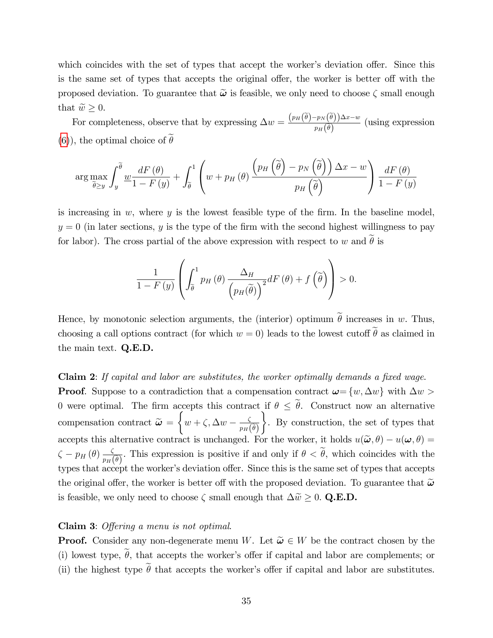which coincides with the set of types that accept the worker's deviation offer. Since this is the same set of types that accepts the original offer, the worker is better off with the proposed deviation. To guarantee that  $\tilde{\omega}$  is feasible, we only need to choose  $\zeta$  small enough that  $\tilde{w} \geq 0$ .

For completeness, observe that by expressing  $\Delta w = \frac{(p_H(\tilde{\theta}) - p_N(\tilde{\theta}))\Delta x - w}{n\tilde{\phi}}$  $\frac{p_N(\nu_f)^{\Delta x - \omega}}{p_H(\tilde{\theta})}$  (using expression [\(6\)](#page-10-1), the optimal choice of  $\widetilde{\theta}$ 

$$
\arg \max_{\widetilde{\theta} \ge y} \int_{y}^{\widetilde{\theta}} \frac{dF(\theta)}{1 - F(y)} + \int_{\widetilde{\theta}}^{1} \left( w + p_{H}(\theta) \frac{\left( p_{H}\left(\widetilde{\theta}\right) - p_{N}\left(\widetilde{\theta}\right) \right) \Delta x - w}{p_{H}\left(\widetilde{\theta}\right)} \right) \frac{dF(\theta)}{1 - F(y)}
$$

is increasing in  $w$ , where  $y$  is the lowest feasible type of the firm. In the baseline model,  $y = 0$  (in later sections, y is the type of the firm with the second highest willingness to pay for labor). The cross partial of the above expression with respect to w and  $\tilde{\theta}$  is

$$
\frac{1}{1-F\left(y\right)}\left(\int_{\widetilde{\theta}}^{1}p_{H}\left(\theta\right)\frac{\Delta_{H}}{\left(p_{H}(\widetilde{\theta})\right)^{2}}dF\left(\theta\right)+f\left(\widetilde{\theta}\right)\right)>0.
$$

Hence, by monotonic selection arguments, the (interior) optimum  $\tilde{\theta}$  increases in w. Thus, choosing a call options contract (for which  $w = 0$ ) leads to the lowest cutoff  $\tilde{\theta}$  as claimed in the main text. Q.E.D.

Claim 2: If capital and labor are substitutes, the worker optimally demands a fixed wage. **Proof.** Suppose to a contradiction that a compensation contract  $\boldsymbol{\omega} = \{w, \Delta w\}$  with  $\Delta w >$ 0 were optimal. The firm accepts this contract if  $\theta \leq \tilde{\theta}$ . Construct now an alternative compensation contract  $\tilde{\omega} =$  $\sqrt{ }$  $w + \zeta$ ,  $\Delta w - \frac{\zeta}{p_H}$  $p_H\big(\widetilde{\theta}\big)$  $\mathcal{L}$ . By construction, the set of types that accepts this alternative contract is unchanged. For the worker, it holds  $u(\tilde{\boldsymbol{\omega}}, \theta) - u(\boldsymbol{\omega}, \theta) =$  $\zeta - p_H(\theta) \frac{\zeta}{p_H(\theta)}$  $\frac{\zeta}{p_H(\tilde{\theta})}$ . This expression is positive if and only if  $\theta < \theta$ , which coincides with the types that accept the worker's deviation offer. Since this is the same set of types that accepts the original offer, the worker is better off with the proposed deviation. To guarantee that  $\tilde{\omega}$ is feasible, we only need to choose  $\zeta$  small enough that  $\Delta \tilde{w} \geq 0$ . Q.E.D.

#### Claim 3: Offering a menu is not optimal.

**Proof.** Consider any non-degenerate menu W. Let  $\tilde{\omega} \in W$  be the contract chosen by the (i) lowest type,  $\tilde{\theta}$ , that accepts the worker's offer if capital and labor are complements; or (ii) the highest type  $\tilde{\theta}$  that accepts the worker's offer if capital and labor are substitutes.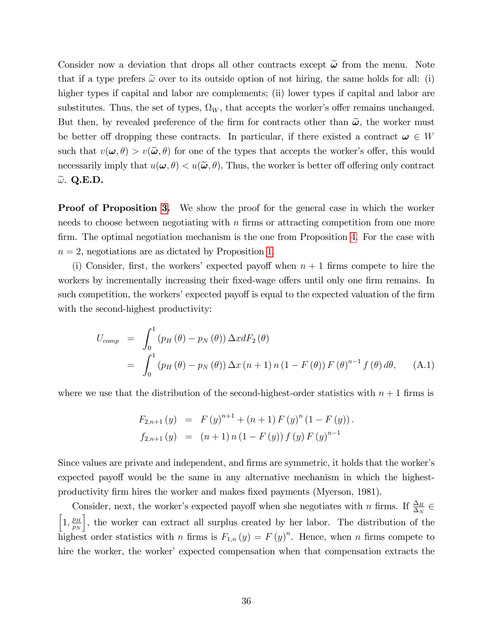Consider now a deviation that drops all other contracts except  $\tilde{\omega}$  from the menu. Note that if a type prefers  $\tilde{\omega}$  over to its outside option of not hiring, the same holds for all: (i) higher types if capital and labor are complements; (ii) lower types if capital and labor are substitutes. Thus, the set of types,  $\Omega_W$ , that accepts the worker's offer remains unchanged. But then, by revealed preference of the firm for contracts other than  $\tilde{\omega}$ , the worker must be better off dropping these contracts. In particular, if there existed a contract  $\omega \in W$ such that  $v(\omega, \theta) > v(\tilde{\omega}, \theta)$  for one of the types that accepts the worker's offer, this would necessarily imply that  $u(\omega, \theta) < u(\tilde{\omega}, \theta)$ . Thus, the worker is better off offering only contract  $\tilde{\omega}$ . Q.E.D.

Proof of Proposition [3.](#page-15-1) We show the proof for the general case in which the worker needs to choose between negotiating with  $n$  firms or attracting competition from one more firm. The optimal negotiation mechanism is the one from Proposition [4.](#page-19-1) For the case with  $n = 2$ , negotiations are as dictated by Proposition [1.](#page-12-0)

(i) Consider, first, the workers' expected payoff when  $n + 1$  firms compete to hire the workers by incrementally increasing their fixed-wage offers until only one firm remains. In such competition, the workers' expected payoff is equal to the expected valuation of the firm with the second-highest productivity:

$$
U_{comp} = \int_0^1 (p_H(\theta) - p_N(\theta)) \Delta x dF_2(\theta)
$$
  
= 
$$
\int_0^1 (p_H(\theta) - p_N(\theta)) \Delta x (n+1) n (1 - F(\theta)) F(\theta)^{n-1} f(\theta) d\theta,
$$
 (A.1)

where we use that the distribution of the second-highest-order statistics with  $n + 1$  firms is

$$
F_{2,n+1}(y) = F(y)^{n+1} + (n+1) F(y)^{n} (1 - F(y)).
$$
  
\n
$$
f_{2,n+1}(y) = (n+1) n (1 - F(y)) f(y) F(y)^{n-1}
$$

Since values are private and independent, and firms are symmetric, it holds that the worker's expected payoff would be the same in any alternative mechanism in which the highestproductivity Örm hires the worker and makes Öxed payments (Myerson, 1981).

Consider, next, the worker's expected payoff when she negotiates with n firms. If  $\frac{\Delta_H}{\Delta_N}$   $\in$  $\left[1, \frac{p_H}{n_H}\right]$  $p_N$ , the worker can extract all surplus created by her labor. The distribution of the highest order statistics with n firms is  $F_{1,n}(y) = F(y)^n$ . Hence, when n firms compete to hire the worker, the worker' expected compensation when that compensation extracts the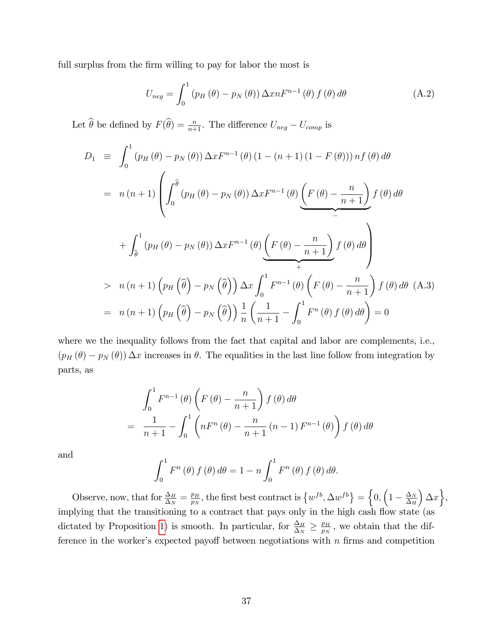full surplus from the firm willing to pay for labor the most is

$$
U_{neg} = \int_0^1 (p_H(\theta) - p_N(\theta)) \Delta x n F^{n-1}(\theta) f(\theta) d\theta
$$
 (A.2)

Let  $\widehat{\theta}$  be defined by  $F(\widehat{\theta}) = \frac{n}{n+1}$ . The difference  $U_{neg} - U_{comp}$  is

$$
D_1 \equiv \int_0^1 (p_H(\theta) - p_N(\theta)) \Delta x F^{n-1}(\theta) (1 - (n+1) (1 - F(\theta))) n f(\theta) d\theta
$$
  

$$
= n (n+1) \left( \int_0^{\widehat{\theta}} (p_H(\theta) - p_N(\theta)) \Delta x F^{n-1}(\theta) \underbrace{\left( F(\theta) - \frac{n}{n+1} \right)}_{-} f(\theta) d\theta \right)
$$
  

$$
+ \int_{\widehat{\theta}}^1 (p_H(\theta) - p_N(\theta)) \Delta x F^{n-1}(\theta) \underbrace{\left( F(\theta) - \frac{n}{n+1} \right)}_{+} f(\theta) d\theta
$$
  

$$
> n (n+1) \left( p_H(\widehat{\theta}) - p_N(\widehat{\theta}) \right) \Delta x \int_0^1 F^{n-1}(\theta) \left( F(\theta) - \frac{n}{n+1} \right) f(\theta) d\theta
$$
  

$$
= n (n+1) \left( p_H(\widehat{\theta}) - p_N(\widehat{\theta}) \right) \frac{1}{n} \left( \frac{1}{n+1} - \int_0^1 F^n(\theta) f(\theta) d\theta \right) = 0
$$

where we the inequality follows from the fact that capital and labor are complements, i.e.,  $(p_H(\theta) - p_N(\theta)) \Delta x$  increases in  $\theta$ . The equalities in the last line follow from integration by parts, as

$$
\int_0^1 F^{n-1}(\theta) \left( F(\theta) - \frac{n}{n+1} \right) f(\theta) d\theta
$$

$$
= \frac{1}{n+1} - \int_0^1 \left( nF^n(\theta) - \frac{n}{n+1} (n-1) F^{n-1}(\theta) \right) f(\theta) d\theta
$$

and

$$
\int_0^1 F^n(\theta) f(\theta) d\theta = 1 - n \int_0^1 F^n(\theta) f(\theta) d\theta.
$$

Observe, now, that for  $\frac{\Delta_H}{\Delta_N} = \frac{p_H}{p_N}$  $\frac{p_H}{p_N}$ , the first best contract is  $\left\{w^{fb}, \Delta w^{fb}\right\} = \left\{0, \left(1 - \frac{\Delta_N}{\Delta_H}\right)\right\}$  $\Delta_H$  $\big\} \Delta x \big\},\$ implying that the transitioning to a contract that pays only in the high cash flow state (as dictated by Proposition [1\)](#page-12-0) is smooth. In particular, for  $\frac{\Delta_H}{\Delta_N} \geq \frac{p_H}{p_N}$  $\frac{p_H}{p_N}$ , we obtain that the difference in the worker's expected payoff between negotiations with  $n$  firms and competition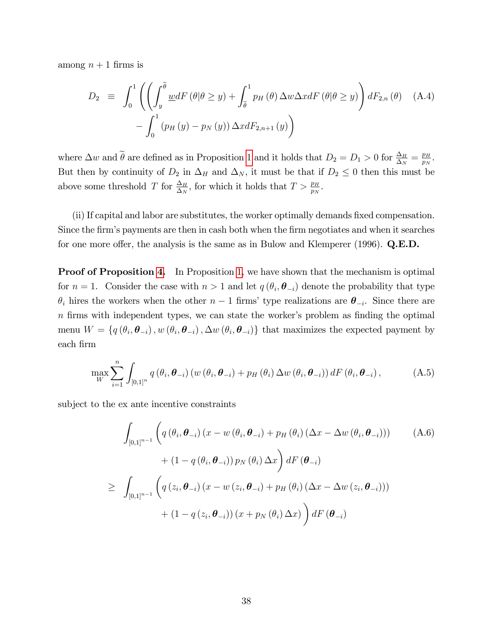among  $n + 1$  firms is

$$
D_2 \equiv \int_0^1 \left( \left( \int_y^{\tilde{\theta}} \underline{w} dF \left( \theta | \theta \ge y \right) + \int_{\tilde{\theta}}^1 p_H \left( \theta \right) \Delta w \Delta x dF \left( \theta | \theta \ge y \right) \right) dF_{2,n} \left( \theta \right) \quad \text{(A.4)}
$$

$$
- \int_0^1 \left( p_H \left( y \right) - p_N \left( y \right) \right) \Delta x dF_{2,n+1} \left( y \right) \right)
$$

where  $\Delta w$  and  $\tilde{\theta}$  are defined as in Proposition [1](#page-12-0) and it holds that  $D_2 = D_1 > 0$  for  $\frac{\Delta_H}{\Delta_N} = \frac{p_H}{p_N}$  $\frac{p_H}{p_N}$  . But then by continuity of  $D_2$  in  $\Delta_H$  and  $\Delta_N$ , it must be that if  $D_2 \leq 0$  then this must be above some threshold T for  $\frac{\Delta_H}{\Delta_N}$ , for which it holds that  $T > \frac{p_H}{p_N}$ .

(ii) If capital and labor are substitutes, the worker optimally demands Öxed compensation. Since the firm's payments are then in cash both when the firm negotiates and when it searches for one more offer, the analysis is the same as in Bulow and Klemperer (1996).  $Q.E.D.$ 

**Proof of Proposition [4.](#page-19-1)** In Proposition [1,](#page-12-0) we have shown that the mechanism is optimal for  $n = 1$ . Consider the case with  $n > 1$  and let  $q(\theta_i, \theta_{-i})$  denote the probability that type  $\theta_i$  hires the workers when the other  $n-1$  firms' type realizations are  $\theta_{-i}$ . Since there are  $n$  firms with independent types, we can state the worker's problem as finding the optimal menu  $W = \{q(\theta_i, \theta_{-i}), w(\theta_i, \theta_{-i}), \Delta w(\theta_i, \theta_{-i})\}$  that maximizes the expected payment by each Örm

$$
\max_{W} \sum_{i=1}^{n} \int_{[0,1]^{n}} q(\theta_{i}, \boldsymbol{\theta}_{-i}) \left( w(\theta_{i}, \boldsymbol{\theta}_{-i}) + p_{H}(\theta_{i}) \Delta w(\theta_{i}, \boldsymbol{\theta}_{-i}) \right) dF(\theta_{i}, \boldsymbol{\theta}_{-i}), \tag{A.5}
$$

subject to the ex ante incentive constraints

<span id="page-37-0"></span>
$$
\int_{[0,1]^{n-1}} \left( q(\theta_i, \boldsymbol{\theta}_{-i}) (x - w(\theta_i, \boldsymbol{\theta}_{-i}) + p_H(\theta_i) (\Delta x - \Delta w(\theta_i, \boldsymbol{\theta}_{-i}))) \right) \qquad (A.6)
$$
  
+ 
$$
(1 - q(\theta_i, \boldsymbol{\theta}_{-i})) p_N(\theta_i) \Delta x \right) dF(\boldsymbol{\theta}_{-i})
$$
  

$$
\geq \int_{[0,1]^{n-1}} \left( q(z_i, \boldsymbol{\theta}_{-i}) (x - w(z_i, \boldsymbol{\theta}_{-i}) + p_H(\theta_i) (\Delta x - \Delta w(z_i, \boldsymbol{\theta}_{-i})))
$$
  
+ 
$$
(1 - q(z_i, \boldsymbol{\theta}_{-i})) (x + p_N(\theta_i) \Delta x) \right) dF(\boldsymbol{\theta}_{-i})
$$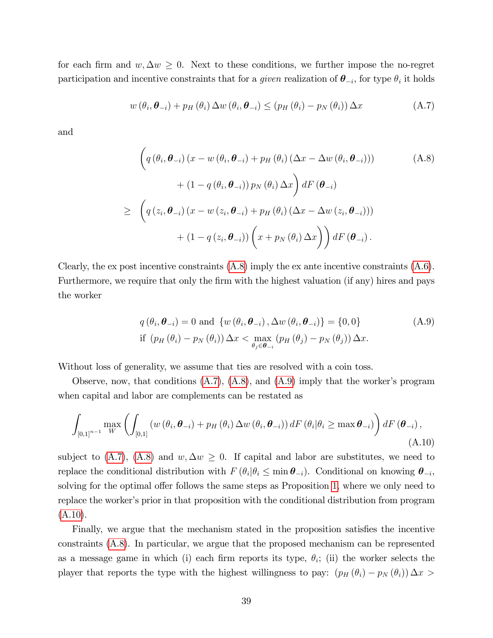for each firm and  $w, \Delta w \geq 0$ . Next to these conditions, we further impose the no-regret participation and incentive constraints that for a *given* realization of  $\theta_{-i}$ , for type  $\theta_i$  it holds

<span id="page-38-1"></span>
$$
w(\theta_i, \boldsymbol{\theta}_{-i}) + p_H(\theta_i) \Delta w(\theta_i, \boldsymbol{\theta}_{-i}) \le (p_H(\theta_i) - p_N(\theta_i)) \Delta x \tag{A.7}
$$

and

<span id="page-38-0"></span>
$$
\left(q\left(\theta_{i}, \boldsymbol{\theta}_{-i}\right)\left(x - w\left(\theta_{i}, \boldsymbol{\theta}_{-i}\right) + p_{H}\left(\theta_{i}\right)\left(\Delta x - \Delta w\left(\theta_{i}, \boldsymbol{\theta}_{-i}\right)\right)\right) \right)
$$
\n
$$
+ \left(1 - q\left(\theta_{i}, \boldsymbol{\theta}_{-i}\right)\right) p_{N}\left(\theta_{i}\right) \Delta x\right) dF\left(\boldsymbol{\theta}_{-i}\right)
$$
\n
$$
\geq \left(q\left(z_{i}, \boldsymbol{\theta}_{-i}\right)\left(x - w\left(z_{i}, \boldsymbol{\theta}_{-i}\right) + p_{H}\left(\theta_{i}\right)\left(\Delta x - \Delta w\left(z_{i}, \boldsymbol{\theta}_{-i}\right)\right)\right)
$$
\n
$$
+ \left(1 - q\left(z_{i}, \boldsymbol{\theta}_{-i}\right)\right)\left(x + p_{N}\left(\theta_{i}\right) \Delta x\right)\right) dF\left(\boldsymbol{\theta}_{-i}\right).
$$
\n(A.8)

Clearly, the ex post incentive constraints [\(A.8\)](#page-38-0) imply the ex ante incentive constraints [\(A.6\)](#page-37-0). Furthermore, we require that only the firm with the highest valuation (if any) hires and pays the worker

<span id="page-38-2"></span>
$$
q(\theta_i, \boldsymbol{\theta}_{-i}) = 0 \text{ and } \{ w(\theta_i, \boldsymbol{\theta}_{-i}), \Delta w(\theta_i, \boldsymbol{\theta}_{-i}) \} = \{0, 0\}
$$
  
if  $(p_H(\theta_i) - p_N(\theta_i)) \Delta x < \max_{\theta_j \in \boldsymbol{\theta}_{-i}} (p_H(\theta_j) - p_N(\theta_j)) \Delta x.$  (A.9)

Without loss of generality, we assume that ties are resolved with a coin toss.

Observe, now, that conditions  $(A.7)$ ,  $(A.8)$ , and  $(A.9)$  imply that the worker's program when capital and labor are complements can be restated as

<span id="page-38-3"></span>
$$
\int_{[0,1]^{n-1}} \max_{W} \left( \int_{[0,1]} \left( w(\theta_i, \boldsymbol{\theta}_{-i}) + p_H(\theta_i) \Delta w(\theta_i, \boldsymbol{\theta}_{-i}) \right) dF(\theta_i | \theta_i \ge \max \boldsymbol{\theta}_{-i}) \right) dF(\boldsymbol{\theta}_{-i}),
$$
\n(A.10)

subject to [\(A.7\)](#page-38-1), [\(A.8\)](#page-38-0) and  $w, \Delta w \geq 0$ . If capital and labor are substitutes, we need to replace the conditional distribution with  $F(\theta_i|\theta_i \leq \min \theta_{-i})$ . Conditional on knowing  $\theta_{-i}$ , solving for the optimal offer follows the same steps as Proposition [1,](#page-12-0) where we only need to replace the worker's prior in that proposition with the conditional distribution from program  $(A.10).$  $(A.10).$ 

Finally, we argue that the mechanism stated in the proposition satisfies the incentive constraints [\(A.8\)](#page-38-0). In particular, we argue that the proposed mechanism can be represented as a message game in which (i) each firm reports its type,  $\theta_i$ ; (ii) the worker selects the player that reports the type with the highest willingness to pay:  $(p_H(\theta_i) - p_N(\theta_i)) \Delta x >$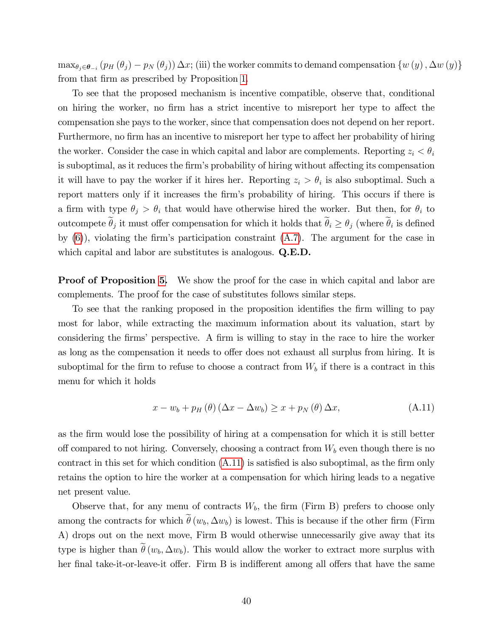$\max_{\theta_j \in \theta_{-i}} (p_H(\theta_j) - p_N(\theta_j)) \Delta x$ ; (iii) the worker commits to demand compensation  $\{w(y), \Delta w(y)\}\$ from that firm as prescribed by Proposition [1.](#page-12-0)

To see that the proposed mechanism is incentive compatible, observe that, conditional on hiring the worker, no firm has a strict incentive to misreport her type to affect the compensation she pays to the worker, since that compensation does not depend on her report. Furthermore, no firm has an incentive to misreport her type to affect her probability of hiring the worker. Consider the case in which capital and labor are complements. Reporting  $z_i < \theta_i$ is suboptimal, as it reduces the firm's probability of hiring without affecting its compensation it will have to pay the worker if it hires her. Reporting  $z_i > \theta_i$  is also suboptimal. Such a report matters only if it increases the firm's probability of hiring. This occurs if there is a firm with type  $\theta_i > \theta_i$  that would have otherwise hired the worker. But then, for  $\theta_i$  to outcompete  $\theta_j$  it must offer compensation for which it holds that  $\theta_i \ge \theta_j$  (where  $\theta_i$  is defined by  $(6)$ , violating the firm's participation constraint  $(A.7)$ . The argument for the case in which capital and labor are substitutes is analogous. **Q.E.D.** 

**Proof of Proposition [5.](#page-21-1)** We show the proof for the case in which capital and labor are complements. The proof for the case of substitutes follows similar steps.

To see that the ranking proposed in the proposition identifies the firm willing to pay most for labor, while extracting the maximum information about its valuation, start by considering the firms' perspective. A firm is willing to stay in the race to hire the worker as long as the compensation it needs to offer does not exhaust all surplus from hiring. It is suboptimal for the firm to refuse to choose a contract from  $W_b$  if there is a contract in this menu for which it holds

<span id="page-39-0"></span>
$$
x - w_b + p_H(\theta) (\Delta x - \Delta w_b) \ge x + p_N(\theta) \Delta x, \tag{A.11}
$$

as the Örm would lose the possibility of hiring at a compensation for which it is still better off compared to not hiring. Conversely, choosing a contract from  $W_b$  even though there is no contract in this set for which condition  $(A.11)$  is satisfied is also suboptimal, as the firm only retains the option to hire the worker at a compensation for which hiring leads to a negative net present value.

Observe that, for any menu of contracts  $W_b$ , the firm (Firm B) prefers to choose only among the contracts for which  $\hat{\theta}(w_b, \Delta w_b)$  is lowest. This is because if the other firm (Firm A) drops out on the next move, Firm B would otherwise unnecessarily give away that its type is higher than  $\tilde{\theta}(w_b, \Delta w_b)$ . This would allow the worker to extract more surplus with her final take-it-or-leave-it offer. Firm B is indifferent among all offers that have the same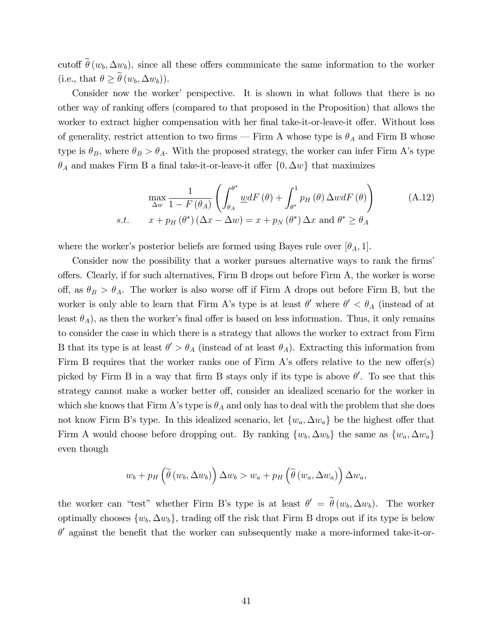cutoff  $\hat{\theta}(w_b, \Delta w_b)$ , since all these offers communicate the same information to the worker (i.e., that  $\theta \geq \widetilde{\theta}(w_b, \Delta w_b)$ ).

Consider now the worker' perspective. It is shown in what follows that there is no other way of ranking offers (compared to that proposed in the Proposition) that allows the worker to extract higher compensation with her final take-it-or-leave-it offer. Without loss of generality, restrict attention to two firms – Firm A whose type is  $\theta_A$  and Firm B whose type is  $\theta_B$ , where  $\theta_B > \theta_A$ . With the proposed strategy, the worker can infer Firm A's type  $\theta_A$  and makes Firm B a final take-it-or-leave-it offer  $\{0, \Delta w\}$  that maximizes

<span id="page-40-0"></span>
$$
\max_{\Delta w} \frac{1}{1 - F(\theta_A)} \left( \int_{\theta_A}^{\theta^*} \underline{w} dF(\theta) + \int_{\theta^*}^1 p_H(\theta) \Delta w dF(\theta) \right)
$$
\n
$$
s.t. \quad x + p_H(\theta^*) \left( \Delta x - \Delta w \right) = x + p_N(\theta^*) \Delta x \text{ and } \theta^* \ge \theta_A
$$
\n(A.12)

where the worker's posterior beliefs are formed using Bayes rule over  $[\theta_A, 1]$ .

Consider now the possibility that a worker pursues alternative ways to rank the firms offers. Clearly, if for such alternatives, Firm B drops out before Firm A, the worker is worse off, as  $\theta_B > \theta_A$ . The worker is also worse off if Firm A drops out before Firm B, but the worker is only able to learn that Firm A's type is at least  $\theta'$  where  $\theta' < \theta_A$  (instead of at least  $\theta_A$ ), as then the worker's final offer is based on less information. Thus, it only remains to consider the case in which there is a strategy that allows the worker to extract from Firm B that its type is at least  $\theta' > \theta_A$  (instead of at least  $\theta_A$ ). Extracting this information from Firm B requires that the worker ranks one of Firm A's offers relative to the new offer $(s)$ picked by Firm B in a way that firm B stays only if its type is above  $\theta'$ . To see that this strategy cannot make a worker better off, consider an idealized scenario for the worker in which she knows that Firm A's type is  $\theta_A$  and only has to deal with the problem that she does not know Firm B's type. In this idealized scenario, let  $\{w_a, \Delta w_a\}$  be the highest offer that Firm A would choose before dropping out. By ranking  $\{w_b, \Delta w_b\}$  the same as  $\{w_a, \Delta w_a\}$ even though

$$
w_b + p_H\left(\widetilde{\theta}\left(w_b, \Delta w_b\right)\right) \Delta w_b > w_a + p_H\left(\widetilde{\theta}\left(w_a, \Delta w_a\right)\right) \Delta w_a,
$$

the worker can "test" whether Firm B's type is at least  $\theta' = \theta(w_b, \Delta w_b)$ . The worker optimally chooses  $\{w_b, \Delta w_b\}$ , trading off the risk that Firm B drops out if its type is below  $\theta'$  against the benefit that the worker can subsequently make a more-informed take-it-or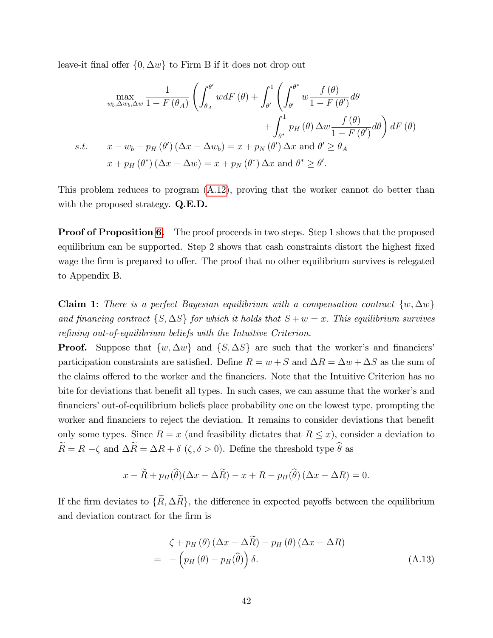leave-it final offer  $\{0, \Delta w\}$  to Firm B if it does not drop out

$$
\max_{w_b, \Delta w_b, \Delta w} \frac{1}{1 - F(\theta_A)} \left( \int_{\theta_A}^{\theta'} \underline{w} dF(\theta) + \int_{\theta'}^1 \left( \int_{\theta'}^{\theta^*} \underline{w} \frac{f(\theta)}{1 - F(\theta')} d\theta \right) \right. \\
\left. + \int_{\theta^*}^1 p_H(\theta) \Delta w \frac{f(\theta)}{1 - F(\theta')} d\theta \right) dF(\theta) \\
\text{s.t.} \quad x - w_b + p_H(\theta') (\Delta x - \Delta w_b) = x + p_N(\theta') \Delta x \text{ and } \theta' \ge \theta_A \\
x + p_H(\theta^*) (\Delta x - \Delta w) = x + p_N(\theta^*) \Delta x \text{ and } \theta^* \ge \theta'.
$$

This problem reduces to program [\(A.12\)](#page-40-0), proving that the worker cannot do better than with the proposed strategy. **Q.E.D.** 

**Proof of Proposition [6.](#page-23-2)** The proof proceeds in two steps. Step 1 shows that the proposed equilibrium can be supported. Step 2 shows that cash constraints distort the highest fixed wage the firm is prepared to offer. The proof that no other equilibrium survives is relegated to Appendix B.

**Claim 1:** There is a perfect Bayesian equilibrium with a compensation contract  $\{w, \Delta w\}$ and financing contract  $\{S, \Delta S\}$  for which it holds that  $S + w = x$ . This equilibrium survives refining out-of-equilibrium beliefs with the Intuitive Criterion.

**Proof.** Suppose that  $\{w, \Delta w\}$  and  $\{S, \Delta S\}$  are such that the worker's and financiers participation constraints are satisfied. Define  $R = w + S$  and  $\Delta R = \Delta w + \Delta S$  as the sum of the claims offered to the worker and the financiers. Note that the Intuitive Criterion has no bite for deviations that benefit all types. In such cases, we can assume that the worker's and financiers' out-of-equilibrium beliefs place probability one on the lowest type, prompting the worker and financiers to reject the deviation. It remains to consider deviations that benefit only some types. Since  $R = x$  (and feasibility dictates that  $R \leq x$ ), consider a deviation to  $\widetilde{R}=R-\zeta$  and  $\Delta\widetilde{R}=\Delta R+\delta$   $(\zeta,\delta>0).$  Define the threshold type  $\widehat{\theta}$  as

$$
x - \widetilde{R} + p_H(\widehat{\theta})(\Delta x - \Delta \widetilde{R}) - x + R - p_H(\widehat{\theta})(\Delta x - \Delta R) = 0.
$$

If the firm deviates to  $\{\widetilde{R}, \Delta \widetilde{R}\}\)$ , the difference in expected payoffs between the equilibrium and deviation contract for the firm is

<span id="page-41-0"></span>
$$
\zeta + p_H(\theta) (\Delta x - \Delta \widetilde{R}) - p_H(\theta) (\Delta x - \Delta R)
$$
  
= -\left(p\_H(\theta) - p\_H(\widehat{\theta})\right) \delta. \tag{A.13}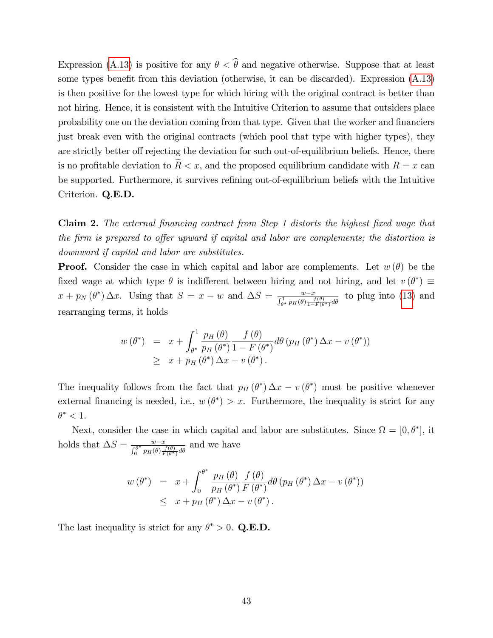Expression [\(A.13\)](#page-41-0) is positive for any  $\theta < \hat{\theta}$  and negative otherwise. Suppose that at least some types benefit from this deviation (otherwise, it can be discarded). Expression  $(A.13)$ is then positive for the lowest type for which hiring with the original contract is better than not hiring. Hence, it is consistent with the Intuitive Criterion to assume that outsiders place probability one on the deviation coming from that type. Given that the worker and financiers just break even with the original contracts (which pool that type with higher types), they are strictly better of rejecting the deviation for such out-of-equilibrium beliefs. Hence, there is no profitable deviation to  $R < x$ , and the proposed equilibrium candidate with  $R = x$  can be supported. Furthermore, it survives refining out-of-equilibrium beliefs with the Intuitive Criterion. Q.E.D.

**Claim 2.** The external financing contract from Step 1 distorts the highest fixed wage that the firm is prepared to offer upward if capital and labor are complements; the distortion is downward if capital and labor are substitutes.

**Proof.** Consider the case in which capital and labor are complements. Let  $w(\theta)$  be the fixed wage at which type  $\theta$  is indifferent between hiring and not hiring, and let  $v(\theta^*) \equiv$  $x + p_N(\theta^*) \Delta x$ . Using that  $S = x - w$  and  $\Delta S = \frac{w - x}{\int_{\theta^*}^1 p_H(\theta) \frac{f(\theta)}{1 - F(\theta^*)} d\theta}$  to plug into [\(13\)](#page-23-1) and rearranging terms, it holds

$$
w(\theta^*) = x + \int_{\theta^*}^1 \frac{p_H(\theta)}{p_H(\theta^*)} \frac{f(\theta)}{1 - F(\theta^*)} d\theta (p_H(\theta^*) \Delta x - v(\theta^*))
$$
  
 
$$
\geq x + p_H(\theta^*) \Delta x - v(\theta^*).
$$

The inequality follows from the fact that  $p_H(\theta^*) \Delta x - v(\theta^*)$  must be positive whenever external financing is needed, i.e.,  $w(\theta^*) > x$ . Furthermore, the inequality is strict for any  $\theta^* < 1$ .

Next, consider the case in which capital and labor are substitutes. Since  $\Omega = [0, \theta^*]$ , it holds that  $\Delta S = \frac{w-x}{\int_0^{\theta^*} p_H(\theta) \frac{f(\theta)}{F(\theta^*)} d\theta}$  and we have

$$
w(\theta^*) = x + \int_0^{\theta^*} \frac{p_H(\theta)}{p_H(\theta^*)} \frac{f(\theta)}{F(\theta^*)} d\theta (p_H(\theta^*) \Delta x - v(\theta^*))
$$
  
 
$$
\leq x + p_H(\theta^*) \Delta x - v(\theta^*).
$$

The last inequality is strict for any  $\theta^* > 0$ . Q.E.D.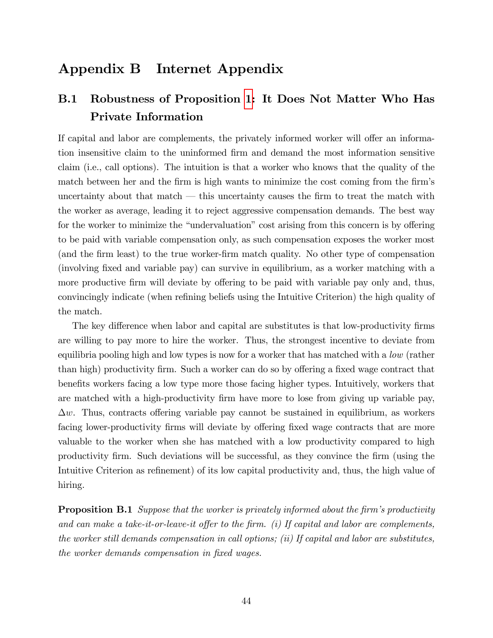# Appendix B Internet Appendix

# <span id="page-43-1"></span>B.1 Robustness of Proposition [1:](#page-12-0) It Does Not Matter Who Has Private Information

If capital and labor are complements, the privately informed worker will offer an information insensitive claim to the uninformed Örm and demand the most information sensitive claim (i.e., call options). The intuition is that a worker who knows that the quality of the match between her and the firm is high wants to minimize the cost coming from the firm's uncertainty about that match  $\sim$  this uncertainty causes the firm to treat the match with the worker as average, leading it to reject aggressive compensation demands. The best way for the worker to minimize the "undervaluation" cost arising from this concern is by offering to be paid with variable compensation only, as such compensation exposes the worker most (and the Örm least) to the true worker-Örm match quality. No other type of compensation (involving Öxed and variable pay) can survive in equilibrium, as a worker matching with a more productive firm will deviate by offering to be paid with variable pay only and, thus, convincingly indicate (when refining beliefs using the Intuitive Criterion) the high quality of the match.

The key difference when labor and capital are substitutes is that low-productivity firms are willing to pay more to hire the worker. Thus, the strongest incentive to deviate from equilibria pooling high and low types is now for a worker that has matched with a low (rather than high) productivity firm. Such a worker can do so by offering a fixed wage contract that benefits workers facing a low type more those facing higher types. Intuitively, workers that are matched with a high-productivity firm have more to lose from giving up variable pay,  $\Delta w$ . Thus, contracts offering variable pay cannot be sustained in equilibrium, as workers facing lower-productivity firms will deviate by offering fixed wage contracts that are more valuable to the worker when she has matched with a low productivity compared to high productivity Örm. Such deviations will be successful, as they convince the Örm (using the Intuitive Criterion as refinement) of its low capital productivity and, thus, the high value of hiring.

<span id="page-43-0"></span>**Proposition B.1** Suppose that the worker is privately informed about the firm's productivity and can make a take-it-or-leave-it offer to the firm. (i) If capital and labor are complements, the worker still demands compensation in call options; (ii) If capital and labor are substitutes, the worker demands compensation in fixed wages.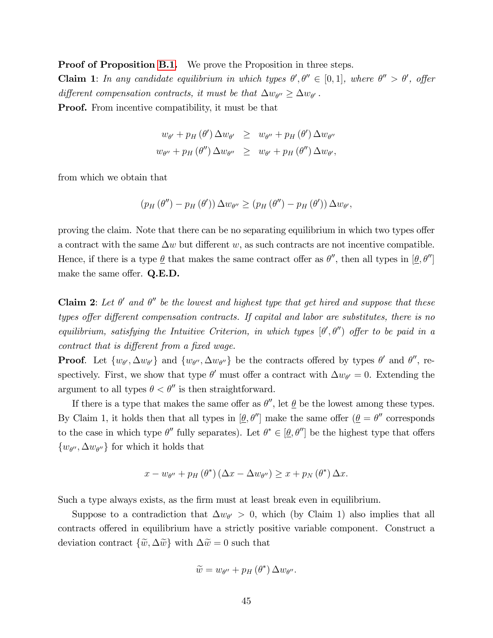Proof of Proposition [B.1.](#page-43-0) We prove the Proposition in three steps. **Claim 1**: In any candidate equilibrium in which types  $\theta', \theta'' \in [0,1]$ , where  $\theta'' > \theta'$ , offer different compensation contracts, it must be that  $\Delta w_{\theta}$   $\geq \Delta w_{\theta}$ . **Proof.** From incentive compatibility, it must be that

$$
w_{\theta'} + p_H(\theta') \Delta w_{\theta'} \geq w_{\theta''} + p_H(\theta') \Delta w_{\theta''}
$$
  

$$
w_{\theta''} + p_H(\theta'') \Delta w_{\theta''} \geq w_{\theta'} + p_H(\theta'') \Delta w_{\theta'},
$$

from which we obtain that

$$
(p_H(\theta'')-p_H(\theta'))\Delta w_{\theta''}\geq (p_H(\theta'')-p_H(\theta'))\Delta w_{\theta'},
$$

proving the claim. Note that there can be no separating equilibrium in which two types offer a contract with the same  $\Delta w$  but different w, as such contracts are not incentive compatible. Hence, if there is a type  $\underline{\theta}$  that makes the same contract offer as  $\theta''$ , then all types in  $[\underline{\theta}, \theta'']$ make the same offer.  $Q.E.D.$ 

**Claim 2**: Let  $\theta'$  and  $\theta''$  be the lowest and highest type that get hired and suppose that these types offer different compensation contracts. If capital and labor are substitutes, there is no equilibrium, satisfying the Intuitive Criterion, in which types  $[\theta', \theta'']$  offer to be paid in a contract that is different from a fixed wage.

**Proof.** Let  $\{w_{\theta'}, \Delta w_{\theta'}\}$  and  $\{w_{\theta''}, \Delta w_{\theta''}\}\$  be the contracts offered by types  $\theta'$  and  $\theta''$ , respectively. First, we show that type  $\theta'$  must offer a contract with  $\Delta w_{\theta'} = 0$ . Extending the argument to all types  $\theta < \theta''$  is then straightforward.

If there is a type that makes the same offer as  $\theta''$ , let  $\underline{\theta}$  be the lowest among these types. By Claim 1, it holds then that all types in  $[\underline{\theta}, \theta'']$  make the same offer  $(\underline{\theta} = \theta''$  corresponds to the case in which type  $\theta''$  fully separates). Let  $\theta^* \in [\underline{\theta}, \theta'']$  be the highest type that offers  $\{w_{\theta''}, \Delta w_{\theta''}\}\$ for which it holds that

$$
x - w_{\theta''} + p_H(\theta^*) \left(\Delta x - \Delta w_{\theta''}\right) \geq x + p_N(\theta^*) \Delta x.
$$

Such a type always exists, as the Örm must at least break even in equilibrium.

Suppose to a contradiction that  $\Delta w_{\theta} > 0$ , which (by Claim 1) also implies that all contracts offered in equilibrium have a strictly positive variable component. Construct a deviation contract  $\{\tilde{w}, \Delta \tilde{w}\}\$  with  $\Delta \tilde{w} = 0$  such that

$$
\widetilde{w}=w_{\theta^{\prime\prime}}+p_H(\theta^*)\,\Delta w_{\theta^{\prime\prime}}.
$$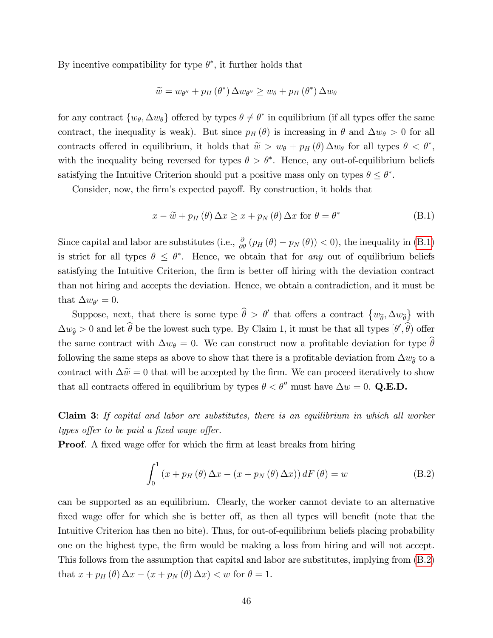By incentive compatibility for type  $\theta^*$ , it further holds that

$$
\widetilde{w} = w_{\theta''} + p_H(\theta^*) \Delta w_{\theta''} \ge w_{\theta} + p_H(\theta^*) \Delta w_{\theta}
$$

for any contract  $\{w_{\theta}, \Delta w_{\theta}\}\$  offered by types  $\theta \neq \theta^*$  in equilibrium (if all types offer the same contract, the inequality is weak). But since  $p_H(\theta)$  is increasing in  $\theta$  and  $\Delta w_{\theta} > 0$  for all contracts offered in equilibrium, it holds that  $\tilde{w} > w_{\theta} + p_H(\theta) \Delta w_{\theta}$  for all types  $\theta < \theta^*$ , with the inequality being reversed for types  $\theta > \theta^*$ . Hence, any out-of-equilibrium beliefs satisfying the Intuitive Criterion should put a positive mass only on types  $\theta \leq \theta^*$ .

Consider, now, the firm's expected payoff. By construction, it holds that

<span id="page-45-0"></span>
$$
x - \widetilde{w} + p_H(\theta) \Delta x \ge x + p_N(\theta) \Delta x \text{ for } \theta = \theta^*
$$
 (B.1)

Since capital and labor are substitutes (i.e.,  $\frac{\partial}{\partial \theta} (p_H(\theta) - p_N(\theta)) < 0$ ), the inequality in [\(B.1\)](#page-45-0) is strict for all types  $\theta \leq \theta^*$ . Hence, we obtain that for any out of equilibrium beliefs satisfying the Intuitive Criterion, the firm is better off hiring with the deviation contract than not hiring and accepts the deviation. Hence, we obtain a contradiction, and it must be that  $\Delta w_{\theta'} = 0$ .

Suppose, next, that there is some type  $\hat{\theta} > \theta'$  that offers a contract  $\{w_{\hat{\theta}}, \Delta w_{\hat{\theta}}\}$  with  $\Delta w_{\hat{\theta}} > 0$  and let  $\theta$  be the lowest such type. By Claim 1, it must be that all types  $[\theta', \theta)$  offer the same contract with  $\Delta w_{\theta} = 0$ . We can construct now a profitable deviation for type  $\hat{\theta}$ following the same steps as above to show that there is a profitable deviation from  $\Delta w_{\hat{\theta}}$  to a contract with  $\Delta \tilde{w} = 0$  that will be accepted by the firm. We can proceed iteratively to show that all contracts offered in equilibrium by types  $\theta < \theta''$  must have  $\Delta w = 0$ . Q.E.D.

Claim 3: If capital and labor are substitutes, there is an equilibrium in which all worker types offer to be paid a fixed wage offer.

**Proof.** A fixed wage offer for which the firm at least breaks from hiring

<span id="page-45-1"></span>
$$
\int_0^1 (x + p_H(\theta) \Delta x - (x + p_N(\theta) \Delta x)) dF(\theta) = w
$$
 (B.2)

can be supported as an equilibrium. Clearly, the worker cannot deviate to an alternative fixed wage offer for which she is better off, as then all types will benefit (note that the Intuitive Criterion has then no bite). Thus, for out-of-equilibrium beliefs placing probability one on the highest type, the Örm would be making a loss from hiring and will not accept. This follows from the assumption that capital and labor are substitutes, implying from [\(B.2\)](#page-45-1) that  $x + p_H(\theta) \Delta x - (x + p_N(\theta) \Delta x) < w$  for  $\theta = 1$ .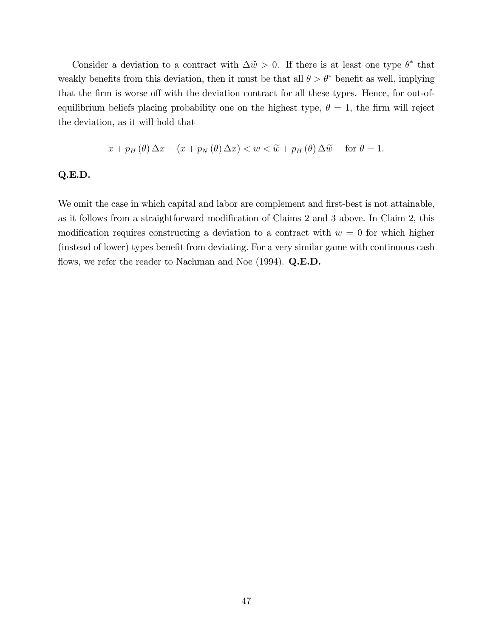Consider a deviation to a contract with  $\Delta \tilde{w} > 0$ . If there is at least one type  $\theta^*$  that weakly benefits from this deviation, then it must be that all  $\theta > \theta^*$  benefit as well, implying that the firm is worse off with the deviation contract for all these types. Hence, for out-ofequilibrium beliefs placing probability one on the highest type,  $\theta = 1$ , the firm will reject the deviation, as it will hold that

$$
x + p_H(\theta) \Delta x - (x + p_N(\theta) \Delta x) < w < \widetilde{w} + p_H(\theta) \Delta \widetilde{w} \quad \text{ for } \theta = 1.
$$

#### Q.E.D.

We omit the case in which capital and labor are complement and first-best is not attainable, as it follows from a straightforward modification of Claims 2 and 3 above. In Claim 2, this modification requires constructing a deviation to a contract with  $w = 0$  for which higher (instead of lower) types benefit from deviating. For a very similar game with continuous cash flows, we refer the reader to Nachman and Noe  $(1994)$ . Q.E.D.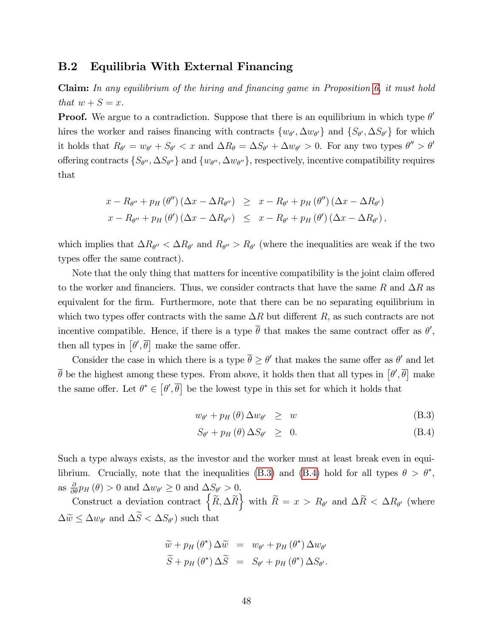#### B.2 Equilibria With External Financing

**Claim:** In any equilibrium of the hiring and financing game in Proposition  $6$ , it must hold that  $w + S = x$ .

**Proof.** We argue to a contradiction. Suppose that there is an equilibrium in which type  $\theta'$ hires the worker and raises financing with contracts  $\{w_{\theta'}, \Delta w_{\theta'}\}$  and  $\{S_{\theta'}, \Delta S_{\theta'}\}$  for which it holds that  $R_{\theta'} = w_{\theta'} + S_{\theta'} < x$  and  $\Delta R_{\theta} = \Delta S_{\theta'} + \Delta w_{\theta'} > 0$ . For any two types  $\theta'' > \theta'$ offering contracts  $\{S_{\theta''}, \Delta S_{\theta''}\}\$  and  $\{w_{\theta''}, \Delta w_{\theta''}\}\$ , respectively, incentive compatibility requires that

$$
x - R_{\theta''} + p_H(\theta'') (\Delta x - \Delta R_{\theta''}) \geq x - R_{\theta'} + p_H(\theta'') (\Delta x - \Delta R_{\theta'})
$$
  

$$
x - R_{\theta''} + p_H(\theta') (\Delta x - \Delta R_{\theta''}) \leq x - R_{\theta'} + p_H(\theta') (\Delta x - \Delta R_{\theta'}),
$$

which implies that  $\Delta R_{\theta''} < \Delta R_{\theta'}$  and  $R_{\theta''} > R_{\theta'}$  (where the inequalities are weak if the two types offer the same contract).

Note that the only thing that matters for incentive compatibility is the joint claim offered to the worker and financiers. Thus, we consider contracts that have the same R and  $\Delta R$  as equivalent for the firm. Furthermore, note that there can be no separating equilibrium in which two types offer contracts with the same  $\Delta R$  but different R, as such contracts are not incentive compatible. Hence, if there is a type  $\theta$  that makes the same contract offer as  $\theta'$ , then all types in  $\left[\theta', \overline{\theta}\right]$  make the same offer.

Consider the case in which there is a type  $\theta \ge \theta'$  that makes the same offer as  $\theta'$  and let  $\overline{\theta}$  be the highest among these types. From above, it holds then that all types in  $[\theta', \overline{\theta}]$  make the same offer. Let  $\theta^* \in [\theta', \overline{\theta}]$  be the lowest type in this set for which it holds that

<span id="page-47-0"></span>
$$
w_{\theta'} + p_H(\theta) \Delta w_{\theta'} \geq w \tag{B.3}
$$

$$
S_{\theta'} + p_H(\theta) \Delta S_{\theta'} \geq 0. \tag{B.4}
$$

Such a type always exists, as the investor and the worker must at least break even in equi-librium. Crucially, note that the inequalities [\(B.3\)](#page-47-0) and [\(B.4\)](#page-47-0) hold for all types  $\theta > \theta^*$ , as  $\frac{\partial}{\partial \theta} p_H(\theta) > 0$  and  $\Delta w_{\theta'} \ge 0$  and  $\Delta S_{\theta'} > 0$ .

Construct a deviation contract  $\left\{ \widetilde{R}, \Delta \widetilde{R} \right\}$  with  $\widetilde{R} = x > R_{\theta'}$  and  $\Delta \widetilde{R} < \Delta R_{\theta'}$  (where  $\Delta \tilde{w} \le \Delta w_{\theta'}$  and  $\Delta S < \Delta S_{\theta'}$ ) such that

$$
\widetilde{w} + p_H(\theta^*) \Delta \widetilde{w} = w_{\theta'} + p_H(\theta^*) \Delta w_{\theta'}
$$
  

$$
\widetilde{S} + p_H(\theta^*) \Delta \widetilde{S} = S_{\theta'} + p_H(\theta^*) \Delta S_{\theta'}.
$$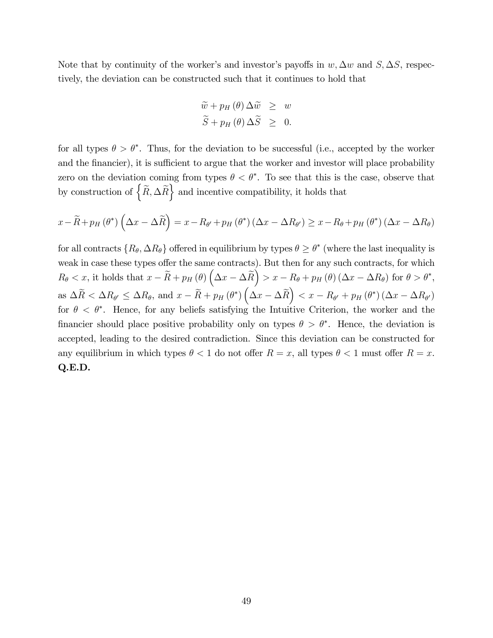Note that by continuity of the worker's and investor's payoffs in  $w, \Delta w$  and  $S, \Delta S$ , respectively, the deviation can be constructed such that it continues to hold that

$$
\begin{aligned}\n\widetilde{w} + p_H(\theta) \Delta \widetilde{w} &\geq w \\
\widetilde{S} + p_H(\theta) \Delta \widetilde{S} &\geq 0.\n\end{aligned}
$$

for all types  $\theta > \theta^*$ . Thus, for the deviation to be successful (i.e., accepted by the worker and the financier), it is sufficient to argue that the worker and investor will place probability zero on the deviation coming from types  $\theta < \theta^*$ . To see that this is the case, observe that by construction of  $\left\{ \widetilde{R}, \Delta \widetilde{R} \right\}$  and incentive compatibility, it holds that

$$
x - \widetilde{R} + p_H(\theta^*) \left( \Delta x - \Delta \widetilde{R} \right) = x - R_{\theta'} + p_H(\theta^*) \left( \Delta x - \Delta R_{\theta'} \right) \ge x - R_{\theta} + p_H(\theta^*) \left( \Delta x - \Delta R_{\theta} \right)
$$

for all contracts  $\{R_{\theta}, \Delta R_{\theta}\}$  offered in equilibrium by types  $\theta \ge \theta^*$  (where the last inequality is weak in case these types offer the same contracts). But then for any such contracts, for which  $R_{\theta} < x$ , it holds that  $x - \widetilde{R} + p_H(\theta) \left(\Delta x - \Delta \widetilde{R}\right) > x - R_{\theta} + p_H(\theta) \left(\Delta x - \Delta R_{\theta}\right)$  for  $\theta > \theta^*$ , as  $\Delta \widetilde{R} < \Delta R_{\theta'} \leq \Delta R_{\theta}$ , and  $x - \widetilde{R} + p_H(\theta^*) \left( \Delta x - \Delta \widetilde{R} \right) < x - R_{\theta'} + p_H(\theta^*) \left( \Delta x - \Delta R_{\theta'} \right)$ for  $\theta < \theta^*$ . Hence, for any beliefs satisfying the Intuitive Criterion, the worker and the financier should place positive probability only on types  $\theta > \theta^*$ . Hence, the deviation is accepted, leading to the desired contradiction. Since this deviation can be constructed for any equilibrium in which types  $\theta < 1$  do not offer  $R = x$ , all types  $\theta < 1$  must offer  $R = x$ . Q.E.D.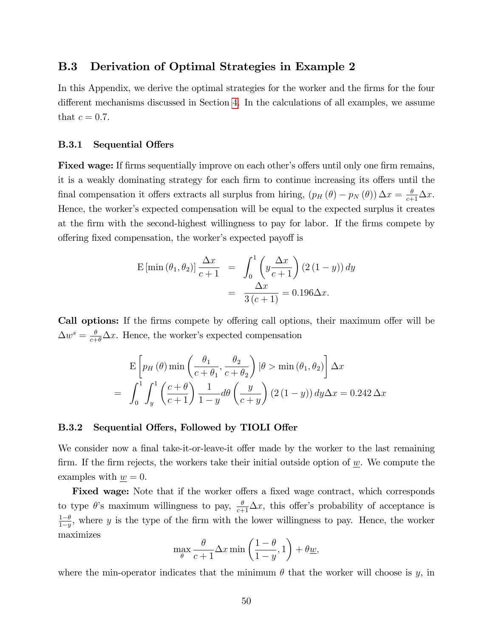#### <span id="page-49-0"></span>B.3 Derivation of Optimal Strategies in Example 2

In this Appendix, we derive the optimal strategies for the worker and the firms for the four different mechanisms discussed in Section [4.](#page-16-0) In the calculations of all examples, we assume that  $c = 0.7$ .

#### **B.3.1** Sequential Offers

**Fixed wage:** If firms sequentially improve on each other's offers until only one firm remains, it is a weakly dominating strategy for each firm to continue increasing its offers until the final compensation it offers extracts all surplus from hiring,  $(p_H(\theta) - p_N(\theta)) \Delta x = \frac{\theta}{c+1} \Delta x$ . Hence, the worker's expected compensation will be equal to the expected surplus it creates at the Örm with the second-highest willingness to pay for labor. If the Örms compete by offering fixed compensation, the worker's expected payoff is

$$
\begin{aligned} \mathcal{E}\left[\min\left(\theta_{1},\theta_{2}\right)\right] \frac{\Delta x}{c+1} &= \int_{0}^{1} \left(y \frac{\Delta x}{c+1}\right) \left(2\left(1-y\right)\right) dy \\ &= \frac{\Delta x}{3\left(c+1\right)} = 0.196\Delta x. \end{aligned}
$$

Call options: If the firms compete by offering call options, their maximum offer will be  $\Delta w^s = \frac{\theta}{c+\theta} \Delta x$ . Hence, the worker's expected compensation

$$
\mathcal{E}\left[p_H(\theta)\min\left(\frac{\theta_1}{c+\theta_1},\frac{\theta_2}{c+\theta_2}\right)|\theta > \min(\theta_1,\theta_2)\right]\Delta x
$$

$$
= \int_0^1 \int_y^1 \left(\frac{c+\theta}{c+1}\right) \frac{1}{1-y} d\theta \left(\frac{y}{c+y}\right) (2(1-y)) dy \Delta x = 0.242 \Delta x
$$

#### B.3.2 Sequential Offers, Followed by TIOLI Offer

We consider now a final take-it-or-leave-it offer made by the worker to the last remaining firm. If the firm rejects, the workers take their initial outside option of  $w$ . We compute the examples with  $\underline{w} = 0$ .

Fixed wage: Note that if the worker offers a fixed wage contract, which corresponds to type  $\theta$ 's maximum willingness to pay,  $\frac{\theta}{c+1}\Delta x$ , this offer's probability of acceptance is  $rac{1-\theta}{1-\theta}$  $\frac{1-\theta}{1-y}$ , where y is the type of the firm with the lower willingness to pay. Hence, the worker maximizes

$$
\max_{\theta} \frac{\theta}{c+1} \Delta x \min\left(\frac{1-\theta}{1-y}, 1\right) + \theta \underline{w},
$$

where the min-operator indicates that the minimum  $\theta$  that the worker will choose is y, in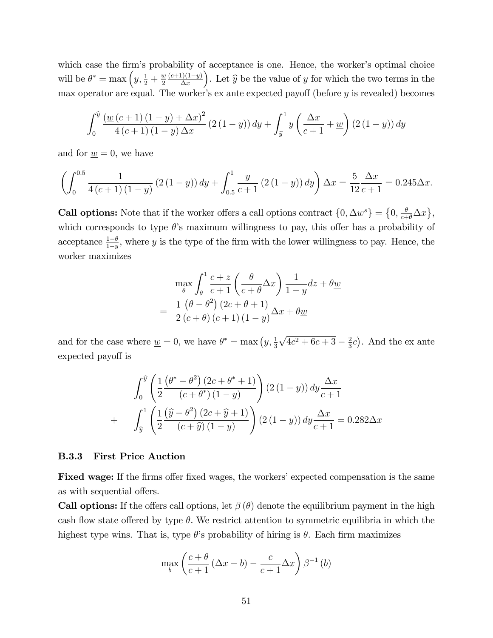which case the firm's probability of acceptance is one. Hence, the worker's optimal choice will be  $\theta^* = \max\left(y, \frac{1}{2} + \frac{w}{2}\right)$  $rac{w}{2} \frac{(c+1)(1-y)}{\Delta x}$ ). Let  $\widehat{y}$  be the value of y for which the two terms in the max operator are equal. The worker's ex ante expected payoff (before  $y$  is revealed) becomes

$$
\int_0^{\widehat{y}} \frac{\left(w\left(c+1\right)\left(1-y\right) + \Delta x\right)^2}{4\left(c+1\right)\left(1-y\right)\Delta x} \left(2\left(1-y\right)\right) dy + \int_{\widehat{y}}^1 y\left(\frac{\Delta x}{c+1} + \underline{w}\right) \left(2\left(1-y\right)\right) dy
$$

and for  $w = 0$ , we have

$$
\left(\int_0^{0.5} \frac{1}{4(c+1)(1-y)} \left(2(1-y)\right) dy + \int_{0.5}^1 \frac{y}{c+1} \left(2(1-y)\right) dy\right) \Delta x = \frac{5}{12} \frac{\Delta x}{c+1} = 0.245 \Delta x.
$$

**Call options:** Note that if the worker offers a call options contract  $\{0, \Delta w^s\} = \{0, \frac{\theta}{c+\theta}\Delta x\},\$ which corresponds to type  $\theta$ 's maximum willingness to pay, this offer has a probability of acceptance  $\frac{1-\theta}{1-y}$ , where y is the type of the firm with the lower willingness to pay. Hence, the worker maximizes

$$
\max_{\theta} \int_{\theta}^{1} \frac{c+z}{c+1} \left( \frac{\theta}{c+\theta} \Delta x \right) \frac{1}{1-y} dz + \theta \underline{w}
$$

$$
= \frac{1}{2} \frac{(\theta - \theta^2) (2c + \theta + 1)}{(c+\theta) (c+1) (1-y)} \Delta x + \theta \underline{w}
$$

and for the case where  $\underline{w} = 0$ , we have  $\theta^* = \max(y, \frac{1}{3})$  $\sqrt{4c^2 + 6c + 3} - \frac{2}{3}$  $(\frac{2}{3}c)$ . And the ex ante expected payoff is

$$
\int_0^{\hat{y}} \left( \frac{1}{2} \frac{\left(\theta^* - \theta^2\right) (2c + \theta^* + 1)}{(c + \theta^*) (1 - y)} \right) (2 (1 - y)) dy \frac{\Delta x}{c + 1}
$$

$$
+ \quad \int_{\hat{y}}^1 \left( \frac{1}{2} \frac{\left(\hat{y} - \theta^2\right) (2c + \hat{y} + 1)}{(c + \hat{y}) (1 - y)} \right) (2 (1 - y)) dy \frac{\Delta x}{c + 1} = 0.282 \Delta x
$$

#### B.3.3 First Price Auction

**Fixed wage:** If the firms offer fixed wages, the workers' expected compensation is the same as with sequential offers.

**Call options:** If the offers call options, let  $\beta(\theta)$  denote the equilibrium payment in the high cash flow state offered by type  $\theta$ . We restrict attention to symmetric equilibria in which the highest type wins. That is, type  $\theta$ 's probability of hiring is  $\theta$ . Each firm maximizes

$$
\max_{b} \left( \frac{c+\theta}{c+1} (\Delta x - b) - \frac{c}{c+1} \Delta x \right) \beta^{-1} (b)
$$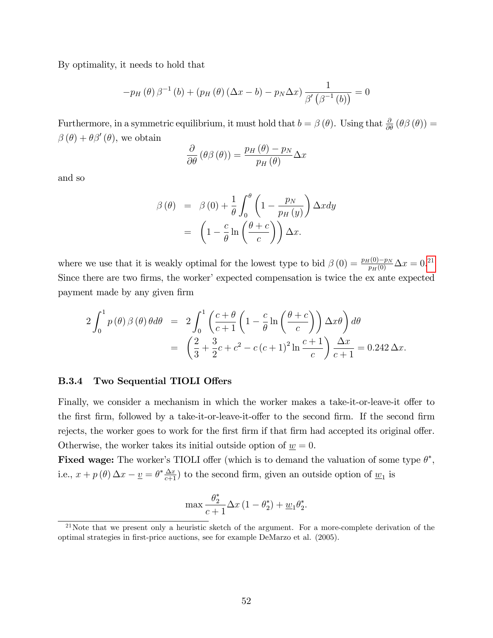By optimality, it needs to hold that

$$
-p_{H}(\theta)\beta^{-1}(b) + (p_{H}(\theta)(\Delta x - b) - p_{N}\Delta x)\frac{1}{\beta'\left(\beta^{-1}(b)\right)} = 0
$$

Furthermore, in a symmetric equilibrium, it must hold that  $b = \beta(\theta)$ . Using that  $\frac{\partial}{\partial \theta}(\theta \beta(\theta)) =$  $\beta(\theta) + \theta \beta'(\theta)$ , we obtain

$$
\frac{\partial}{\partial \theta} \left( \theta \beta \left( \theta \right) \right) = \frac{p_H \left( \theta \right) - p_N}{p_H \left( \theta \right)} \Delta x
$$

and so

$$
\beta(\theta) = \beta(0) + \frac{1}{\theta} \int_0^{\theta} \left(1 - \frac{p_N}{p_H(y)}\right) \Delta x dy
$$

$$
= \left(1 - \frac{c}{\theta} \ln\left(\frac{\theta + c}{c}\right)\right) \Delta x.
$$

where we use that it is weakly optimal for the lowest type to bid  $\beta(0) = \frac{p_H(0) - p_N}{p_H(0)} \Delta x = 0.21$  $\beta(0) = \frac{p_H(0) - p_N}{p_H(0)} \Delta x = 0.21$ Since there are two firms, the worker' expected compensation is twice the ex ante expected payment made by any given Örm

$$
2\int_0^1 p(\theta)\beta(\theta)\theta d\theta = 2\int_0^1 \left(\frac{c+\theta}{c+1}\left(1-\frac{c}{\theta}\ln\left(\frac{\theta+c}{c}\right)\right)\Delta x\theta\right)d\theta
$$
  
= 
$$
\left(\frac{2}{3}+\frac{3}{2}c+c^2-c\left(c+1\right)^2\ln\frac{c+1}{c}\right)\frac{\Delta x}{c+1} = 0.242\,\Delta x.
$$

#### B.3.4 Two Sequential TIOLI Offers

Finally, we consider a mechanism in which the worker makes a take-it-or-leave-it offer to the first firm, followed by a take-it-or-leave-it-offer to the second firm. If the second firm rejects, the worker goes to work for the first firm if that firm had accepted its original offer. Otherwise, the worker takes its initial outside option of  $\underline{w} = 0$ .

**Fixed wage:** The worker's TIOLI offer (which is to demand the valuation of some type  $\theta^*$ , i.e.,  $x + p(\theta) \Delta x - \underline{v} = \theta^* \frac{\Delta x}{c+1}$  to the second firm, given an outside option of  $\underline{w}_1$  is

$$
\max \frac{\theta_2^*}{c+1} \Delta x \left(1 - \theta_2^*\right) + \underline{w}_1 \theta_2^*.
$$

<span id="page-51-0"></span> $^{21}$ Note that we present only a heuristic sketch of the argument. For a more-complete derivation of the optimal strategies in first-price auctions, see for example DeMarzo et al. (2005).